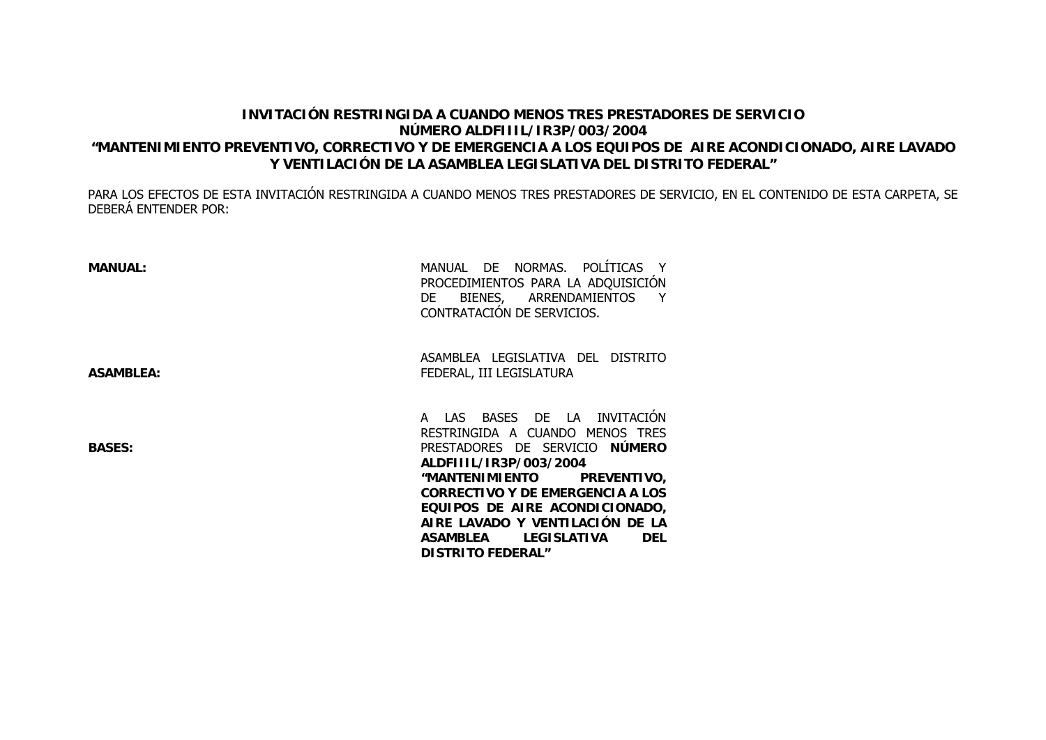## **INVITACIÓN RESTRINGIDA A CUANDO MENOS TRES PRESTADORES DE SERVICIONÚMERO ALDFIIIL/IR3P/003/2004 "MANTENIMIENTO PREVENTIVO, CORRECTIVO Y DE EMERGENCIA A LOS EQUIPOS DE AIRE ACONDICIONADO, AIRE LAVADO Y VENTILACIÓN DE LA ASAMBLEA LEGISLATIVA DEL DISTRITO FEDERAL"**

PARA LOS EFECTOS DE ESTA INVITACIÓN RESTRINGIDA A CUANDO MENOS TRES PRESTADORES DE SERVICIO, EN EL CONTENIDO DE ESTA CARPETA, SE DEBERÁ ENTENDER POR:

| <b>MANUAL:</b>   | MANUAL DE NORMAS. POLÍTICAS Y<br>PROCEDIMIENTOS PARA LA ADQUISICIÓN<br>BIENES, ARRENDAMIENTOS Y<br>DE<br>CONTRATACIÓN DE SERVICIOS.                                                                                                                                                                                                                      |  |  |
|------------------|----------------------------------------------------------------------------------------------------------------------------------------------------------------------------------------------------------------------------------------------------------------------------------------------------------------------------------------------------------|--|--|
| <b>ASAMBLEA:</b> | ASAMBLEA LEGISLATIVA DEL<br><b>DISTRITO</b><br>FEDERAL, III LEGISLATURA                                                                                                                                                                                                                                                                                  |  |  |
| <b>BASES:</b>    | A LAS BASES DE LA INVITACION<br>RESTRINGIDA A CUANDO MENOS TRES<br>PRESTADORES DE SERVICIO NÚMERO<br>ALDFIIIL/IR3P/003/2004<br>"MANTENIMIENTO<br>PREVENTIVO,<br>CORRECTIVO Y DE EMERGENCIA A LOS<br>EQUIPOS DE AIRE ACONDICIONADO,<br>AIRE LAVADO Y VENTILACIÓN DE LA<br><b>LEGISLATIVA</b><br><b>ASAMBLEA</b><br><b>DEL</b><br><b>DISTRITO FEDERAL"</b> |  |  |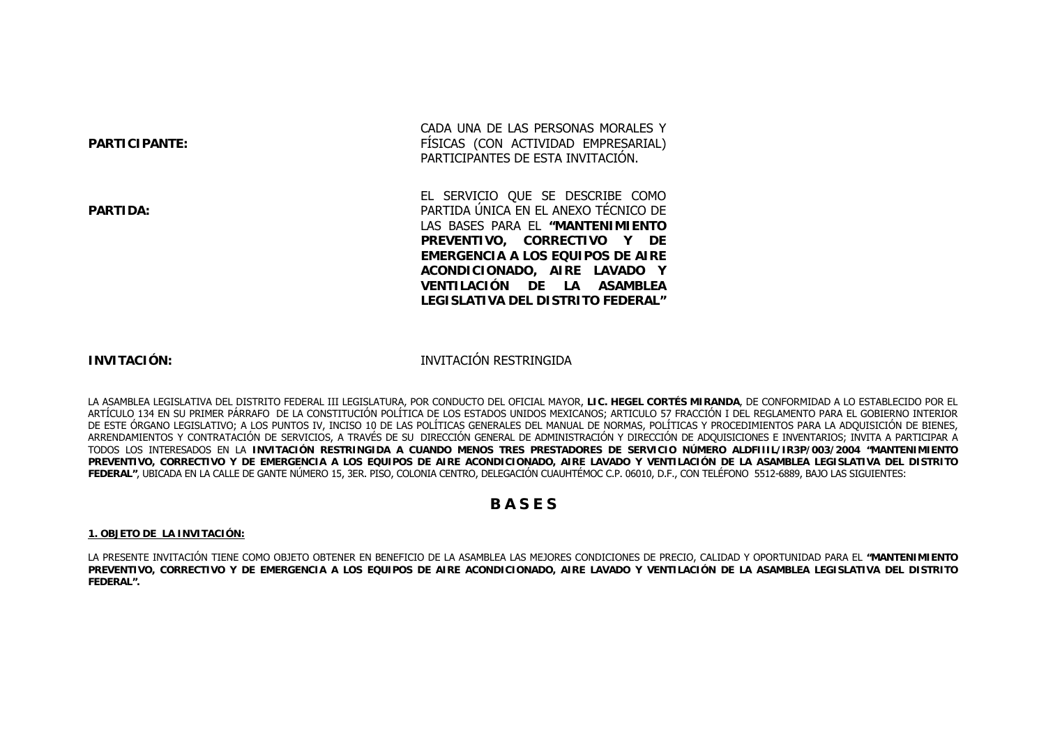| <b>PARTICIPANTE:</b> |  |  |  |  |  |  |  |
|----------------------|--|--|--|--|--|--|--|
|----------------------|--|--|--|--|--|--|--|

**PARTIDA:**

CADA UNA DE LAS PERSONAS MORALES Y FÍSICAS (CON ACTIVIDAD EMPRESARIAL) PARTICIPANTES DE ESTA INVITACIÓN.

EL SERVICIO QUE SE DESCRIBE COMO PARTIDA ÚNICA EN EL ANEXO TÉCNICO DE LAS BASES PARA EL **"MANTENIMIENTO PREVENTIVO, CORRECTIVO Y DE EMERGENCIA A LOS EQUIPOS DE AIRE ACONDICIONADO, AIRE LAVADO Y VENTILACIÓN DE LA ASAMBLEA LEGISLATIVA DEL DISTRITO FEDERAL"**

## **INVITACIÓN:**

INVITACIÓN RESTRINGIDA

LA ASAMBLEA LEGISLATIVA DEL DISTRITO FEDERAL III LEGISLATURA, POR CONDUCTO DEL OFICIAL MAYOR, **LIC. HEGEL CORTÉS MIRANDA**, DE CONFORMIDAD A LO ESTABLECIDO POR EL ARTÍCULO 134 EN SU PRIMER PÁRRAFO DE LA CONSTITUCIÓN POLÍTICA DE LOS ESTADOS UNIDOS MEXICANOS; ARTICULO 57 FRACCIÓN I DEL REGLAMENTO PARA EL GOBIERNO INTERIOR DE ESTE ÓRGANO LEGISLATIVO; A LOS PUNTOS IV, INCISO 10 DE LAS POLÍTICAS GENERALES DEL MANUAL DE NORMAS, POLÍTICAS Y PROCEDIMIENTOS PARA LA ADQUISICIÓN DE BIENES, ARRENDAMIENTOS Y CONTRATACIÓN DE SERVICIOS, A TRAVÉS DE SU DIRECCIÓN GENERAL DE ADMINISTRACIÓN Y DIRECCIÓN DE ADQUISICIONES E INVENTARIOS; INVITA A PARTICIPAR A TODOS LOS INTERESADOS EN LA **INVITACIÓN RESTRINGIDA A CUANDO MENOS TRES PRESTADORES DE SERVICIO NÚMERO ALDFIIIL/IR3P/003/2004 "MANTENIMIENTO PREVENTIVO, CORRECTIVO Y DE EMERGENCIA A LOS EQUIPOS DE AIRE ACONDICIONADO, AIRE LAVADO Y VENTILACIÓN DE LA ASAMBLEA LEGISLATIVA DEL DISTRITO FEDERAL"**, UBICADA EN LA CALLE DE GANTE NÚMERO 15, 3ER. PISO, COLONIA CENTRO, DELEGACIÓN CUAUHTÉMOC C.P. 06010, D.F., CON TELÉFONO 5512-6889, BAJO LAS SIGUIENTES:

## **B A S E S**

### **1. OBJETO DE LA INVITACIÓN:**

LA PRESENTE INVITACIÓN TIENE COMO OBJETO OBTENER EN BENEFICIO DE LA ASAMBLEA LAS MEJORES CONDICIONES DE PRECIO, CALIDAD Y OPORTUNIDAD PARA EL **"MANTENIMIENTO PREVENTIVO, CORRECTIVO Y DE EMERGENCIA A LOS EQUIPOS DE AIRE ACONDICIONADO, AIRE LAVADO Y VENTILACIÓN DE LA ASAMBLEA LEGISLATIVA DEL DISTRITO FEDERAL".**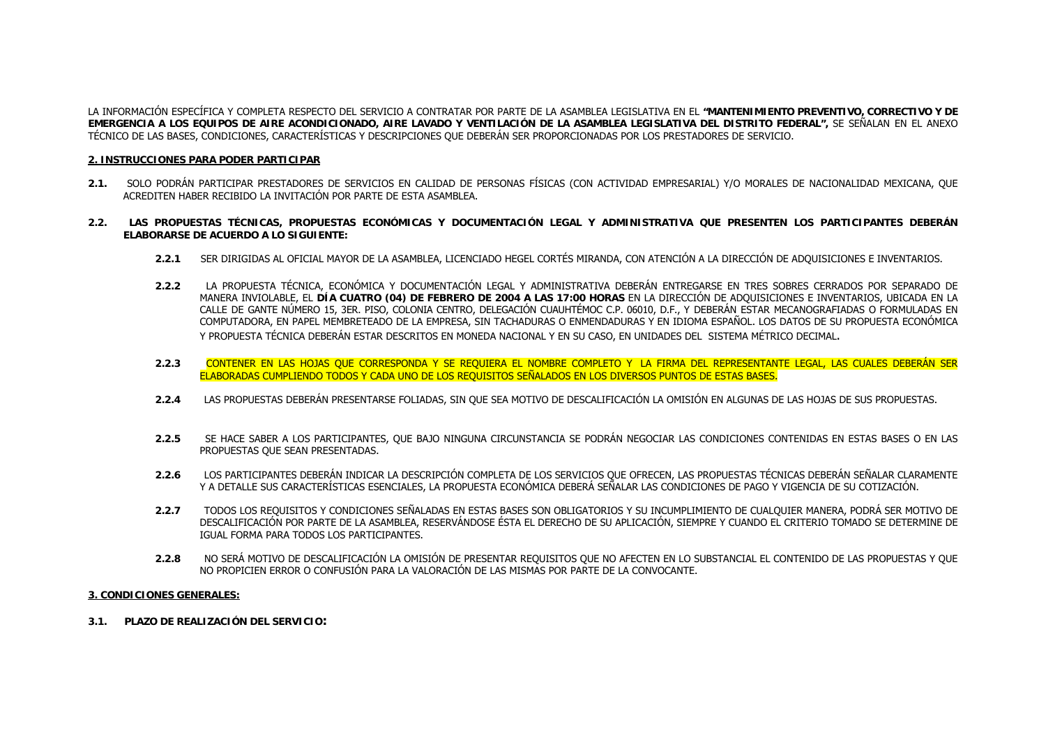LA INFORMACIÓN ESPECÍFICA Y COMPLETA RESPECTO DEL SERVICIO A CONTRATAR POR PARTE DE LA ASAMBLEA LEGISLATIVA EN EL **"MANTENIMIENTO PREVENTIVO, CORRECTIVO Y DE EMERGENCIA A LOS EQUIPOS DE AIRE ACONDICIONADO, AIRE LAVADO Y VENTILACIÓN DE LA ASAMBLEA LEGISLATIVA DEL DISTRITO FEDERAL",** SE SEÑALAN EN EL ANEXO TÉCNICO DE LAS BASES, CONDICIONES, CARACTERÍSTICAS Y DESCRIPCIONES QUE DEBERÁN SER PROPORCIONADAS POR LOS PRESTADORES DE SERVICIO.

## **2. INSTRUCCIONES PARA PODER PARTICIPAR**

- **2.1.** SOLO PODRÁN PARTICIPAR PRESTADORES DE SERVICIOS EN CALIDAD DE PERSONAS FÍSICAS (CON ACTIVIDAD EMPRESARIAL) Y/O MORALES DE NACIONALIDAD MEXICANA, QUE ACREDITEN HABER RECIBIDO LA INVITACIÓN POR PARTE DE ESTA ASAMBLEA.
- **2.2. LAS PROPUESTAS TÉCNICAS, PROPUESTAS ECONÓMICAS Y DOCUMENTACIÓN LEGAL Y ADMINISTRATIVA QUE PRESENTEN LOS PARTICIPANTES DEBERÁN ELABORARSE DE ACUERDO A LO SIGUIENTE:**
	- **2.2.1** SER DIRIGIDAS AL OFICIAL MAYOR DE LA ASAMBLEA, LICENCIADO HEGEL CORTÉS MIRANDA, CON ATENCIÓN A LA DIRECCIÓN DE ADQUISICIONES E INVENTARIOS.
	- **2.2.2** LA PROPUESTA TÉCNICA, ECONÓMICA Y DOCUMENTACIÓN LEGAL Y ADMINISTRATIVA DEBERÁN ENTREGARSE EN TRES SOBRES CERRADOS POR SEPARADO DE MANERA INVIOLABLE, EL **DÍA CUATRO (04) DE FEBRERO DE 2004 A LAS 17:00 HORAS** EN LA DIRECCIÓN DE ADQUISICIONES E INVENTARIOS, UBICADA EN LA CALLE DE GANTE NÚMERO 15, 3ER. PISO, COLONIA CENTRO, DELEGACIÓN CUAUHTÉMOC C.P. 06010, D.F., Y DEBERÁN ESTAR MECANOGRAFIADAS O FORMULADAS EN COMPUTADORA, EN PAPEL MEMBRETEADO DE LA EMPRESA, SIN TACHADURAS O ENMENDADURAS Y EN IDIOMA ESPAÑOL. LOS DATOS DE SU PROPUESTA ECONÓMICA Y PROPUESTA TÉCNICA DEBERÁN ESTAR DESCRITOS EN MONEDA NACIONAL Y EN SU CASO, EN UNIDADES DEL SISTEMA MÉTRICO DECIMAL.
	- **2.2.3** CONTENER EN LAS HOJAS QUE CORRESPONDA Y SE REQUIERA EL NOMBRE COMPLETO Y LA FIRMA DEL REPRESENTANTE LEGAL, LAS CUALES DEBERÁN SER ELABORADAS CUMPLIENDO TODOS Y CADA UNO DE LOS REQUISITOS SEÑALADOS EN LOS DIVERSOS PUNTOS DE ESTAS BASES.
	- **2.2.4**LAS PROPUESTAS DEBERÁN PRESENTARSE FOLIADAS, SIN QUE SEA MOTIVO DE DESCALIFICACIÓN LA OMISIÓN EN ALGUNAS DE LAS HOJAS DE SUS PROPUESTAS.
	- **2.2.5** SE HACE SABER A LOS PARTICIPANTES, QUE BAJO NINGUNA CIRCUNSTANCIA SE PODRÁN NEGOCIAR LAS CONDICIONES CONTENIDAS EN ESTAS BASES O EN LAS PROPUESTAS QUE SEAN PRESENTADAS.
	- **2.2.6** LOS PARTICIPANTES DEBERÁN INDICAR LA DESCRIPCIÓN COMPLETA DE LOS SERVICIOS QUE OFRECEN, LAS PROPUESTAS TÉCNICAS DEBERÁN SEÑALAR CLARAMENTE Y A DETALLE SUS CARACTERÍSTICAS ESENCIALES, LA PROPUESTA ECONÓMICA DEBERÁ SEÑALAR LAS CONDICIONES DE PAGO Y VIGENCIA DE SU COTIZACIÓN.
	- **2.2.7** TODOS LOS REQUISITOS Y CONDICIONES SEÑALADAS EN ESTAS BASES SON OBLIGATORIOS Y SU INCUMPLIMIENTO DE CUALQUIER MANERA, PODRÁ SER MOTIVO DE DESCALIFICACIÓN POR PARTE DE LA ASAMBLEA, RESERVÁNDOSE ÉSTA EL DERECHO DE SU APLICACIÓN, SIEMPRE Y CUANDO EL CRITERIO TOMADO SE DETERMINE DE IGUAL FORMA PARA TODOS LOS PARTICIPANTES.
	- **2.2.8** NO SERÁ MOTIVO DE DESCALIFICACIÓN LA OMISIÓN DE PRESENTAR REQUISITOS QUE NO AFECTEN EN LO SUBSTANCIAL EL CONTENIDO DE LAS PROPUESTAS Y QUE NO PROPICIEN ERROR O CONFUSIÓN PARA LA VALORACIÓN DE LAS MISMAS POR PARTE DE LA CONVOCANTE.

## **3. CONDICIONES GENERALES:**

**3.1. PLAZO DE REALIZACIÓN DEL SERVICIO:**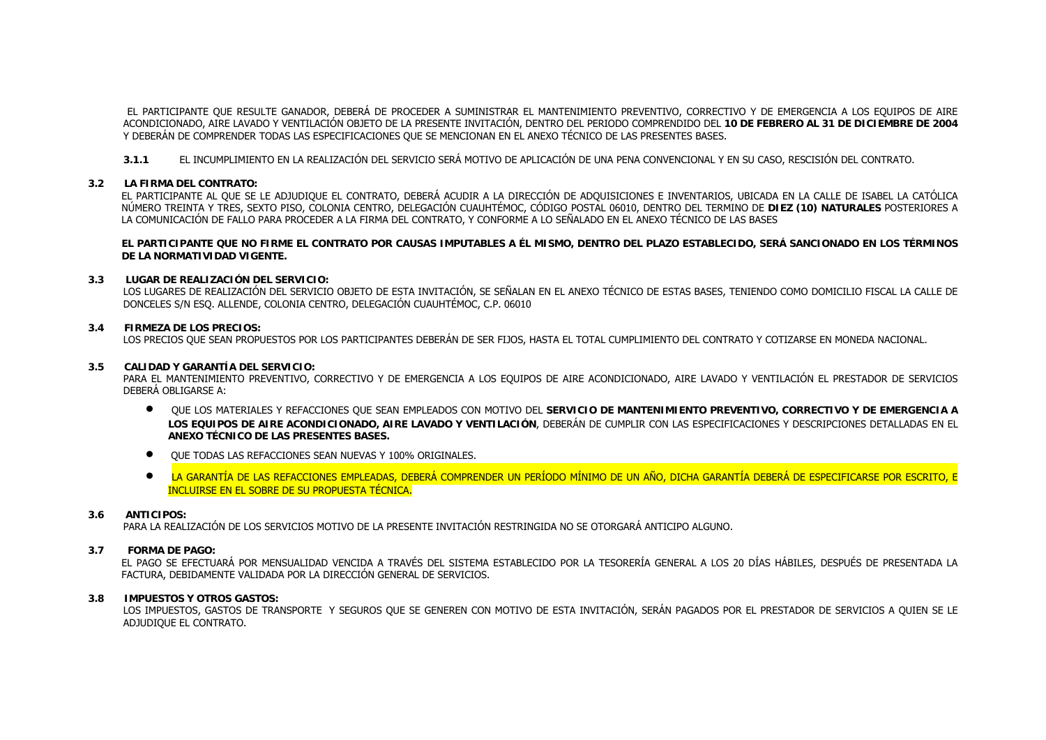EL PARTICIPANTE QUE RESULTE GANADOR, DEBERÁ DE PROCEDER A SUMINISTRAR EL MANTENIMIENTO PREVENTIVO, CORRECTIVO Y DE EMERGENCIA A LOS EQUIPOS DE AIRE ACONDICIONADO, AIRE LAVADO Y VENTILACIÓN OBJETO DE LA PRESENTE INVITACIÓN, DENTRO DEL PERIODO COMPRENDIDO DEL **10 DE FEBRERO AL 31 DE DICIEMBRE DE 2004** Y DEBERÁN DE COMPRENDER TODAS LAS ESPECIFICACIONES QUE SE MENCIONAN EN EL ANEXO TÉCNICO DE LAS PRESENTES BASES.

**3.1.1** EL INCUMPLIMIENTO EN LA REALIZACIÓN DEL SERVICIO SERÁ MOTIVO DE APLICACIÓN DE UNA PENA CONVENCIONAL Y EN SU CASO, RESCISIÓN DEL CONTRATO.

## **3.2 LA FIRMA DEL CONTRATO:**

EL PARTICIPANTE AL QUE SE LE ADJUDIQUE EL CONTRATO, DEBERÁ ACUDIR A LA DIRECCIÓN DE ADQUISICIONES E INVENTARIOS, UBICADA EN LA CALLE DE ISABEL LA CATÓLICA NÚMERO TREINTA Y TRES, SEXTO PISO, COLONIA CENTRO, DELEGACIÓN CUAUHTÉMOC, CÓDIGO POSTAL 06010, DENTRO DEL TERMINO DE **DIEZ (10) NATURALES** POSTERIORES A LA COMUNICACIÓN DE FALLO PARA PROCEDER A LA FIRMA DEL CONTRATO, Y CONFORME A LO SEÑALADO EN EL ANEXO TÉCNICO DE LAS BASES

**EL PARTICIPANTE QUE NO FIRME EL CONTRATO POR CAUSAS IMPUTABLES A ÉL MISMO, DENTRO DEL PLAZO ESTABLECIDO, SERÁ SANCIONADO EN LOS TÉRMINOS DE LA NORMATIVIDAD VIGENTE.**

## **3.3 LUGAR DE REALIZACIÓN DEL SERVICIO:**

LOS LUGARES DE REALIZACIÓN DEL SERVICIO OBJETO DE ESTA INVITACIÓN, SE SEÑALAN EN EL ANEXO TÉCNICO DE ESTAS BASES, TENIENDO COMO DOMICILIO FISCAL LA CALLE DE DONCELES S/N ESQ. ALLENDE, COLONIA CENTRO, DELEGACIÓN CUAUHTÉMOC, C.P. 06010

## **3.4 FIRMEZA DE LOS PRECIOS:**

LOS PRECIOS QUE SEAN PROPUESTOS POR LOS PARTICIPANTES DEBERÁN DE SER FIJOS, HASTA EL TOTAL CUMPLIMIENTO DEL CONTRATO Y COTIZARSE EN MONEDA NACIONAL.

## **3.5 CALIDAD Y GARANTÍA DEL SERVICIO:**

PARA EL MANTENIMIENTO PREVENTIVO, CORRECTIVO Y DE EMERGENCIA A LOS EQUIPOS DE AIRE ACONDICIONADO, AIRE LAVADO Y VENTILACIÓN EL PRESTADOR DE SERVICIOS DEBERÁ OBLIGARSE A:

- QUE LOS MATERIALES Y REFACCIONES QUE SEAN EMPLEADOS CON MOTIVO DEL **SERVICIO DE MANTENIMIENTO PREVENTIVO, CORRECTIVO Y DE EMERGENCIA A LOS EQUIPOS DE AIRE ACONDICIONADO, AIRE LAVADO Y VENTILACIÓN**, DEBERÁN DE CUMPLIR CON LAS ESPECIFICACIONES Y DESCRIPCIONES DETALLADAS EN EL **ANEXO TÉCNICO DE LAS PRESENTES BASES.**
- QUE TODAS LAS REFACCIONES SEAN NUEVAS Y 100% ORIGINALES.
- $\bullet$  LA GARANTÍA DE LAS REFACCIONES EMPLEADAS, DEBERÁ COMPRENDER UN PERÍODO MÍNIMO DE UN AÑO, DICHA GARANTÍA DEBERÁ DE ESPECIFICARSE POR ESCRITO, E INCLUIRSE EN EL SOBRE DE SU PROPUESTA TÉCNICA.

#### **3.6ANTICIPOS:**

PARA LA REALIZACIÓN DE LOS SERVICIOS MOTIVO DE LA PRESENTE INVITACIÓN RESTRINGIDA NO SE OTORGARÁ ANTICIPO ALGUNO.

#### **3.7FORMA DE PAGO:**

EL PAGO SE EFECTUARÁ POR MENSUALIDAD VENCIDA A TRAVÉS DEL SISTEMA ESTABLECIDO POR LA TESORERÍA GENERAL A LOS 20 DÍAS HÁBILES, DESPUÉS DE PRESENTADA LA FACTURA, DEBIDAMENTE VALIDADA POR LA DIRECCIÓN GENERAL DE SERVICIOS.

## **3.8 IMPUESTOS Y OTROS GASTOS:**

LOS IMPUESTOS, GASTOS DE TRANSPORTE Y SEGUROS QUE SE GENEREN CON MOTIVO DE ESTA INVITACIÓN, SERÁN PAGADOS POR EL PRESTADOR DE SERVICIOS A QUIEN SE LE ADJUDIQUE EL CONTRATO.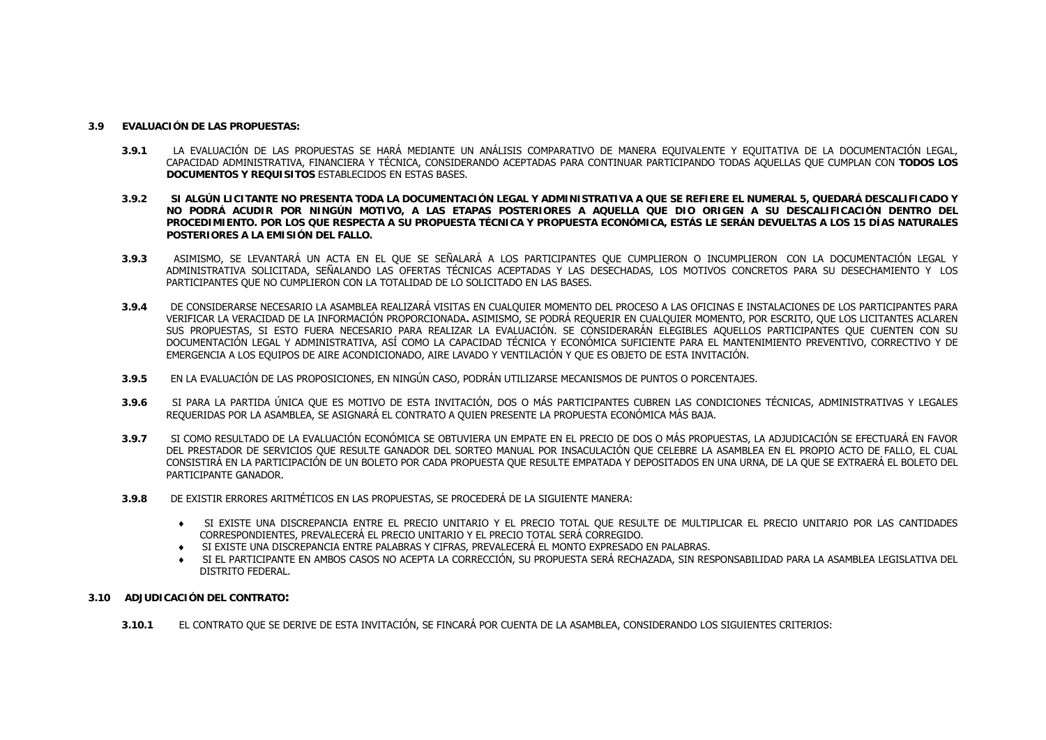#### **3.9EVALUACIÓN DE LAS PROPUESTAS:**

- **3.9.1** LA EVALUACIÓN DE LAS PROPUESTAS SE HARÁ MEDIANTE UN ANÁLISIS COMPARATIVO DE MANERA EQUIVALENTE Y EQUITATIVA DE LA DOCUMENTACIÓN LEGAL, CAPACIDAD ADMINISTRATIVA, FINANCIERA Y TÉCNICA, CONSIDERANDO ACEPTADAS PARA CONTINUAR PARTICIPANDO TODAS AQUELLAS QUE CUMPLAN CON **TODOS LOS DOCUMENTOS Y REQUISITOS** ESTABLECIDOS EN ESTAS BASES.
- **3.9.2 SI ALGÚN LICITANTE NO PRESENTA TODA LA DOCUMENTACIÓN LEGAL Y ADMINISTRATIVA A QUE SE REFIERE EL NUMERAL 5, QUEDARÁ DESCALIFICADO Y NO PODRÁ ACUDIR POR NINGÚN MOTIVO, A LAS ETAPAS POSTERIORES A AQUELLA QUE DIO ORIGEN A SU DESCALIFICACIÓN DENTRO DEL PROCEDIMIENTO. POR LOS QUE RESPECTA A SU PROPUESTA TÉCNICA Y PROPUESTA ECONÓMICA, ESTÁS LE SERÁN DEVUELTAS A LOS 15 DÍAS NATURALES POSTERIORES A LA EMISIÓN DEL FALLO.**
- **3.9.3** ASIMISMO, SE LEVANTARÁ UN ACTA EN EL QUE SE SEÑALARÁ A LOS PARTICIPANTES QUE CUMPLIERON O INCUMPLIERON CON LA DOCUMENTACIÓN LEGAL Y ADMINISTRATIVA SOLICITADA, SEÑALANDO LAS OFERTAS TÉCNICAS ACEPTADAS Y LAS DESECHADAS, LOS MOTIVOS CONCRETOS PARA SU DESECHAMIENTO Y LOS PARTICIPANTES QUE NO CUMPLIERON CON LA TOTALIDAD DE LO SOLICITADO EN LAS BASES.
- **3.9.4** DE CONSIDERARSE NECESARIO LA ASAMBLEA REALIZARÁ VISITAS EN CUALQUIER MOMENTO DEL PROCESO A LAS OFICINAS E INSTALACIONES DE LOS PARTICIPANTES PARA VERIFICAR LA VERACIDAD DE LA INFORMACIÓN PROPORCIONADA**.** ASIMISMO, SE PODRÁ REQUERIR EN CUALQUIER MOMENTO, POR ESCRITO, QUE LOS LICITANTES ACLAREN SUS PROPUESTAS, SI ESTO FUERA NECESARIO PARA REALIZAR LA EVALUACIÓN. SE CONSIDERARÁN ELEGIBLES AQUELLOS PARTICIPANTES QUE CUENTEN CON SU DOCUMENTACIÓN LEGAL Y ADMINISTRATIVA, ASÍ COMO LA CAPACIDAD TÉCNICA Y ECONÓMICA SUFICIENTE PARA EL MANTENIMIENTO PREVENTIVO, CORRECTIVO Y DE EMERGENCIA A LOS EQUIPOS DE AIRE ACONDICIONADO, AIRE LAVADO Y VENTILACIÓN Y QUE ES OBJETO DE ESTA INVITACIÓN.
- **3.9.5**EN LA EVALUACIÓN DE LAS PROPOSICIONES, EN NINGÚN CASO, PODRÁN UTILIZARSE MECANISMOS DE PUNTOS O PORCENTAJES.
- **3.9.6** SI PARA LA PARTIDA ÚNICA QUE ES MOTIVO DE ESTA INVITACIÓN, DOS O MÁS PARTICIPANTES CUBREN LAS CONDICIONES TÉCNICAS, ADMINISTRATIVAS Y LEGALES REQUERIDAS POR LA ASAMBLEA, SE ASIGNARÁ EL CONTRATO A QUIEN PRESENTE LA PROPUESTA ECONÓMICA MÁS BAJA.
- **3.9.7** SI COMO RESULTADO DE LA EVALUACIÓN ECONÓMICA SE OBTUVIERA UN EMPATE EN EL PRECIO DE DOS O MÁS PROPUESTAS, LA ADJUDICACIÓN SE EFECTUARÁ EN FAVOR DEL PRESTADOR DE SERVICIOS QUE RESULTE GANADOR DEL SORTEO MANUAL POR INSACULACIÓN QUE CELEBRE LA ASAMBLEA EN EL PROPIO ACTO DE FALLO, EL CUAL CONSISTIRÁ EN LA PARTICIPACIÓN DE UN BOLETO POR CADA PROPUESTA QUE RESULTE EMPATADA Y DEPOSITADOS EN UNA URNA, DE LA QUE SE EXTRAERÁ EL BOLETO DEL PARTICIPANTE GANADOR.
- **3.9.8** DE EXISTIR ERRORES ARITMÉTICOS EN LAS PROPUESTAS, SE PROCEDERÁ DE LA SIGUIENTE MANERA:
	- ♦ SI EXISTE UNA DISCREPANCIA ENTRE EL PRECIO UNITARIO Y EL PRECIO TOTAL QUE RESULTE DE MULTIPLICAR EL PRECIO UNITARIO POR LAS CANTIDADES CORRESPONDIENTES, PREVALECERÁ EL PRECIO UNITARIO Y EL PRECIO TOTAL SERÁ CORREGIDO.
	- ♦ SI EXISTE UNA DISCREPANCIA ENTRE PALABRAS Y CIFRAS, PREVALECERÁ EL MONTO EXPRESADO EN PALABRAS.
	- ♦ SI EL PARTICIPANTE EN AMBOS CASOS NO ACEPTA LA CORRECCIÓN, SU PROPUESTA SERÁ RECHAZADA, SIN RESPONSABILIDAD PARA LA ASAMBLEA LEGISLATIVA DEL DISTRITO FEDERAL.
- **3.10 ADJUDICACIÓN DEL CONTRATO:**
	- **3.10.1**EL CONTRATO QUE SE DERIVE DE ESTA INVITACIÓN, SE FINCARÁ POR CUENTA DE LA ASAMBLEA, CONSIDERANDO LOS SIGUIENTES CRITERIOS: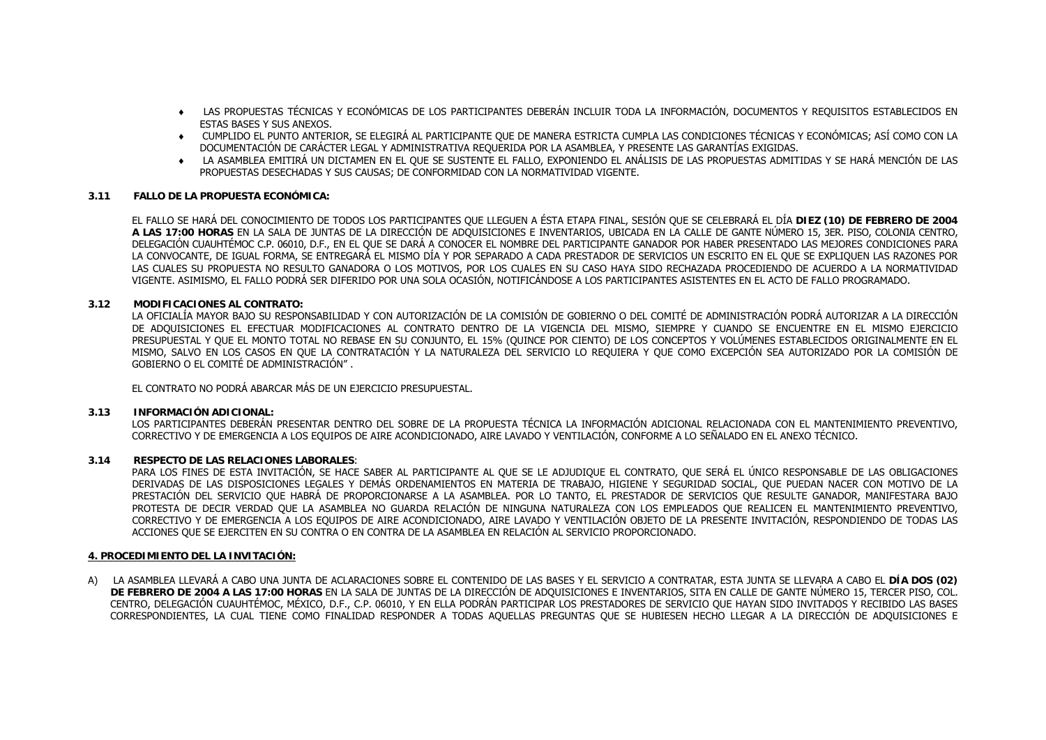- ♦ LAS PROPUESTAS TÉCNICAS Y ECONÓMICAS DE LOS PARTICIPANTES DEBERÁN INCLUIR TODA LA INFORMACIÓN, DOCUMENTOS Y REQUISITOS ESTABLECIDOS EN ESTAS BASES Y SUS ANEXOS.
- ♦ CUMPLIDO EL PUNTO ANTERIOR, SE ELEGIRÁ AL PARTICIPANTE QUE DE MANERA ESTRICTA CUMPLA LAS CONDICIONES TÉCNICAS Y ECONÓMICAS; ASÍ COMO CON LA DOCUMENTACIÓN DE CARÁCTER LEGAL Y ADMINISTRATIVA REQUERIDA POR LA ASAMBLEA, Y PRESENTE LAS GARANTÍAS EXIGIDAS.
- ♦ LA ASAMBLEA EMITIRÁ UN DICTAMEN EN EL QUE SE SUSTENTE EL FALLO, EXPONIENDO EL ANÁLISIS DE LAS PROPUESTAS ADMITIDAS Y SE HARÁ MENCIÓN DE LAS PROPUESTAS DESECHADAS Y SUS CAUSAS; DE CONFORMIDAD CON LA NORMATIVIDAD VIGENTE.

## **3.11 FALLO DE LA PROPUESTA ECONÓMICA:**

EL FALLO SE HARÁ DEL CONOCIMIENTO DE TODOS LOS PARTICIPANTES QUE LLEGUEN A ÉSTA ETAPA FINAL, SESIÓN QUE SE CELEBRARÁ EL DÍA **DIEZ (10) DE FEBRERO DE 2004 A LAS 17:00 HORAS** EN LA SALA DE JUNTAS DE LA DIRECCIÓN DE ADQUISICIONES E INVENTARIOS, UBICADA EN LA CALLE DE GANTE NÚMERO 15, 3ER. PISO, COLONIA CENTRO, DELEGACIÓN CUAUHTÉMOC C.P. 06010, D.F., EN EL QUE SE DARÁ A CONOCER EL NOMBRE DEL PARTICIPANTE GANADOR POR HABER PRESENTADO LAS MEJORES CONDICIONES PARA LA CONVOCANTE, DE IGUAL FORMA, SE ENTREGARÁ EL MISMO DÍA Y POR SEPARADO A CADA PRESTADOR DE SERVICIOS UN ESCRITO EN EL QUE SE EXPLIQUEN LAS RAZONES POR LAS CUALES SU PROPUESTA NO RESULTO GANADORA O LOS MOTIVOS, POR LOS CUALES EN SU CASO HAYA SIDO RECHAZADA PROCEDIENDO DE ACUERDO A LA NORMATIVIDAD VIGENTE. ASIMISMO, EL FALLO PODRÁ SER DIFERIDO POR UNA SOLA OCASIÓN, NOTIFICÁNDOSE A LOS PARTICIPANTES ASISTENTES EN EL ACTO DE FALLO PROGRAMADO.

## **3.12 MODIFICACIONES AL CONTRATO:**

LA OFICIALÍA MAYOR BAJO SU RESPONSABILIDAD Y CON AUTORIZACIÓN DE LA COMISIÓN DE GOBIERNO O DEL COMITÉ DE ADMINISTRACIÓN PODRÁ AUTORIZAR A LA DIRECCIÓN DE ADQUISICIONES EL EFECTUAR MODIFICACIONES AL CONTRATO DENTRO DE LA VIGENCIA DEL MISMO, SIEMPRE Y CUANDO SE ENCUENTRE EN EL MISMO EJERCICIO PRESUPUESTAL Y QUE EL MONTO TOTAL NO REBASE EN SU CONJUNTO, EL 15% (QUINCE POR CIENTO) DE LOS CONCEPTOS Y VOLÚMENES ESTABLECIDOS ORIGINALMENTE EN EL MISMO, SALVO EN LOS CASOS EN QUE LA CONTRATACIÓN Y LA NATURALEZA DEL SERVICIO LO REQUIERA Y QUE COMO EXCEPCIÓN SEA AUTORIZADO POR LA COMISIÓN DE GOBIERNO O EL COMITÉ DE ADMINISTRACIÓN" .

EL CONTRATO NO PODRÁ ABARCAR MÁS DE UN EJERCICIO PRESUPUESTAL.

## **3.13 INFORMACIÓN ADICIONAL:**

LOS PARTICIPANTES DEBERÁN PRESENTAR DENTRO DEL SOBRE DE LA PROPUESTA TÉCNICA LA INFORMACIÓN ADICIONAL RELACIONADA CON EL MANTENIMIENTO PREVENTIVO, CORRECTIVO Y DE EMERGENCIA A LOS EQUIPOS DE AIRE ACONDICIONADO, AIRE LAVADO Y VENTILACIÓN, CONFORME A LO SEÑALADO EN EL ANEXO TÉCNICO.

## **3.14 RESPECTO DE LAS RELACIONES LABORALES**:

PARA LOS FINES DE ESTA INVITACIÓN, SE HACE SABER AL PARTICIPANTE AL QUE SE LE ADJUDIQUE EL CONTRATO, QUE SERÁ EL ÚNICO RESPONSABLE DE LAS OBLIGACIONES DERIVADAS DE LAS DISPOSICIONES LEGALES Y DEMÁS ORDENAMIENTOS EN MATERIA DE TRABAJO, HIGIENE Y SEGURIDAD SOCIAL, QUE PUEDAN NACER CON MOTIVO DE LA PRESTACIÓN DEL SERVICIO QUE HABRÁ DE PROPORCIONARSE A LA ASAMBLEA. POR LO TANTO, EL PRESTADOR DE SERVICIOS QUE RESULTE GANADOR, MANIFESTARA BAJO PROTESTA DE DECIR VERDAD QUE LA ASAMBLEA NO GUARDA RELACIÓN DE NINGUNA NATURALEZA CON LOS EMPLEADOS QUE REALICEN EL MANTENIMIENTO PREVENTIVO, CORRECTIVO Y DE EMERGENCIA A LOS EQUIPOS DE AIRE ACONDICIONADO, AIRE LAVADO Y VENTILACIÓN OBJETO DE LA PRESENTE INVITACIÓN, RESPONDIENDO DE TODAS LAS ACCIONES QUE SE EJERCITEN EN SU CONTRA O EN CONTRA DE LA ASAMBLEA EN RELACIÓN AL SERVICIO PROPORCIONADO.

## **4. PROCEDIMIENTO DEL LA INVITACIÓN:**

A) LA ASAMBLEA LLEVARÁ A CABO UNA JUNTA DE ACLARACIONES SOBRE EL CONTENIDO DE LAS BASES Y EL SERVICIO A CONTRATAR, ESTA JUNTA SE LLEVARA A CABO EL **DÍA DOS (02) DE FEBRERO DE 2004 A LAS 17:00 HORAS** EN LA SALA DE JUNTAS DE LA DIRECCIÓN DE ADQUISICIONES E INVENTARIOS, SITA EN CALLE DE GANTE NÚMERO 15, TERCER PISO, COL. CENTRO, DELEGACIÓN CUAUHTÉMOC, MÉXICO, D.F., C.P. 06010, Y EN ELLA PODRÁN PARTICIPAR LOS PRESTADORES DE SERVICIO QUE HAYAN SIDO INVITADOS Y RECIBIDO LAS BASES CORRESPONDIENTES, LA CUAL TIENE COMO FINALIDAD RESPONDER A TODAS AQUELLAS PREGUNTAS QUE SE HUBIESEN HECHO LLEGAR A LA DIRECCIÓN DE ADQUISICIONES E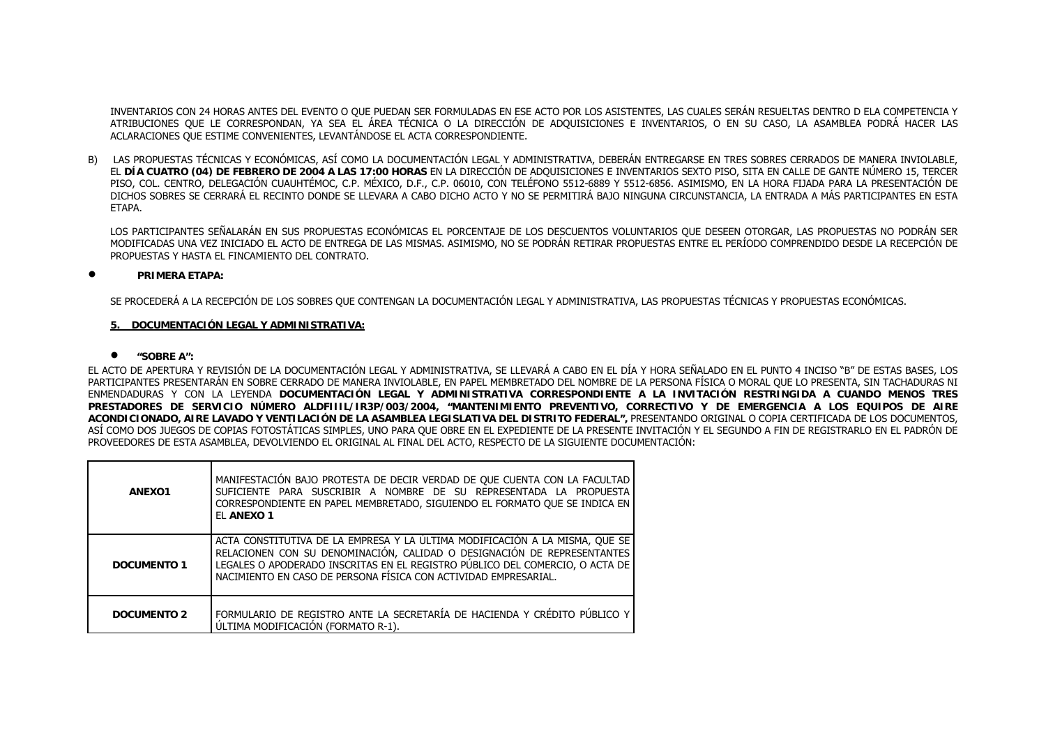INVENTARIOS CON 24 HORAS ANTES DEL EVENTO O QUE PUEDAN SER FORMULADAS EN ESE ACTO POR LOS ASISTENTES, LAS CUALES SERÁN RESUELTAS DENTRO D ELA COMPETENCIA Y ATRIBUCIONES QUE LE CORRESPONDAN, YA SEA EL ÁREA TÉCNICA O LA DIRECCIÓN DE ADQUISICIONES E INVENTARIOS, O EN SU CASO, LA ASAMBLEA PODRÁ HACER LAS ACLARACIONES QUE ESTIME CONVENIENTES, LEVANTÁNDOSE EL ACTA CORRESPONDIENTE.

B) LAS PROPUESTAS TÉCNICAS Y ECONÓMICAS, ASÍ COMO LA DOCUMENTACIÓN LEGAL Y ADMINISTRATIVA, DEBERÁN ENTREGARSE EN TRES SOBRES CERRADOS DE MANERA INVIOLABLE, EL **DÍA CUATRO (04) DE FEBRERO DE 2004 A LAS 17:00 HORAS** EN LA DIRECCIÓN DE ADQUISICIONES E INVENTARIOS SEXTO PISO, SITA EN CALLE DE GANTE NÚMERO 15, TERCER PISO, COL. CENTRO, DELEGACIÓN CUAUHTÉMOC, C.P. MÉXICO, D.F., C.P. 06010, CON TELÉFONO 5512-6889 Y 5512-6856. ASIMISMO, EN LA HORA FIJADA PARA LA PRESENTACIÓN DE DICHOS SOBRES SE CERRARÁ EL RECINTO DONDE SE LLEVARA A CABO DICHO ACTO Y NO SE PERMITIRÁ BAJO NINGUNA CIRCUNSTANCIA, LA ENTRADA A MÁS PARTICIPANTES EN ESTA **FTAPA** 

LOS PARTICIPANTES SEÑALARÁN EN SUS PROPUESTAS ECONÓMICAS EL PORCENTAJE DE LOS DESCUENTOS VOLUNTARIOS QUE DESEEN OTORGAR, LAS PROPUESTAS NO PODRÁN SER MODIFICADAS UNA VEZ INICIADO EL ACTO DE ENTREGA DE LAS MISMAS. ASIMISMO, NO SE PODRÁN RETIRAR PROPUESTAS ENTRE EL PERÍODO COMPRENDIDO DESDE LA RECEPCIÓN DE PROPUESTAS Y HASTA EL FINCAMIENTO DEL CONTRATO.

#### •**PRIMERA ETAPA:**

SE PROCEDERÁ A LA RECEPCIÓN DE LOS SOBRES QUE CONTENGAN LA DOCUMENTACIÓN LEGAL Y ADMINISTRATIVA, LAS PROPUESTAS TÉCNICAS Y PROPUESTAS ECONÓMICAS.

## **5. DOCUMENTACIÓN LEGAL Y ADMINISTRATIVA:**

## • **"SOBRE A":**

EL ACTO DE APERTURA Y REVISIÓN DE LA DOCUMENTACIÓN LEGAL Y ADMINISTRATIVA, SE LLEVARÁ A CABO EN EL DÍA Y HORA SEÑALADO EN EL PUNTO 4 INCISO "B" DE ESTAS BASES, LOS PARTICIPANTES PRESENTARÁN EN SOBRE CERRADO DE MANERA INVIOLABLE, EN PAPEL MEMBRETADO DEL NOMBRE DE LA PERSONA FÍSICA O MORAL QUE LO PRESENTA, SIN TACHADURAS NI ENMENDADURAS Y CON LA LEYENDA **DOCUMENTACIÓN LEGAL Y ADMINISTRATIVA CORRESPONDIENTE A LA INVITACIÓN RESTRINGIDA A CUANDO MENOS TRES PRESTADORES DE SERVICIO NÚMERO ALDFIIIL/IR3P/003/2004, "MANTENIMIENTO PREVENTIVO, CORRECTIVO Y DE EMERGENCIA A LOS EQUIPOS DE AIRE ACONDICIONADO, AIRE LAVADO Y VENTILACIÓN DE LA ASAMBLEA LEGISLATIVA DEL DISTRITO FEDERAL",** PRESENTANDO ORIGINAL O COPIA CERTIFICADA DE LOS DOCUMENTOS, ASÍ COMO DOS JUEGOS DE COPIAS FOTOSTÁTICAS SIMPLES, UNO PARA QUE OBRE EN EL EXPEDIENTE DE LA PRESENTE INVITACIÓN Y EL SEGUNDO A FIN DE REGISTRARLO EN EL PADRÓN DE PROVEEDORES DE ESTA ASAMBLEA, DEVOLVIENDO EL ORIGINAL AL FINAL DEL ACTO, RESPECTO DE LA SIGUIENTE DOCUMENTACIÓN:

| ANEX01             | MANIFESTACIÓN BAJO PROTESTA DE DECIR VERDAD DE QUE CUENTA CON LA FACULTAD<br>SUFICIENTE PARA SUSCRIBIR A NOMBRE DE SU REPRESENTADA LA PROPUESTA<br>CORRESPONDIENTE EN PAPEL MEMBRETADO, SIGUIENDO EL FORMATO QUE SE INDICA EN<br>EL ANEXO 1                                                               |
|--------------------|-----------------------------------------------------------------------------------------------------------------------------------------------------------------------------------------------------------------------------------------------------------------------------------------------------------|
| DOCUMENTO 1        | ACTA CONSTITUTIVA DE LA EMPRESA Y LA ÚLTIMA MODIFICACIÓN A LA MISMA, QUE SE<br>RELACIONEN CON SU DENOMINACIÓN, CALIDAD O DESIGNACIÓN DE REPRESENTANTES<br>LEGALES O APODERADO INSCRITAS EN EL REGISTRO PÚBLICO DEL COMERCIO, O ACTA DE<br>NACIMIENTO EN CASO DE PERSONA FÍSICA CON ACTIVIDAD EMPRESARIAL. |
| <b>DOCUMENTO 2</b> | FORMULARIO DE REGISTRO ANTE LA SECRETARÍA DE HACIENDA Y CRÉDITO PÚBLICO Y<br>ULTIMA MODIFICACIÓN (FORMATO R-1).                                                                                                                                                                                           |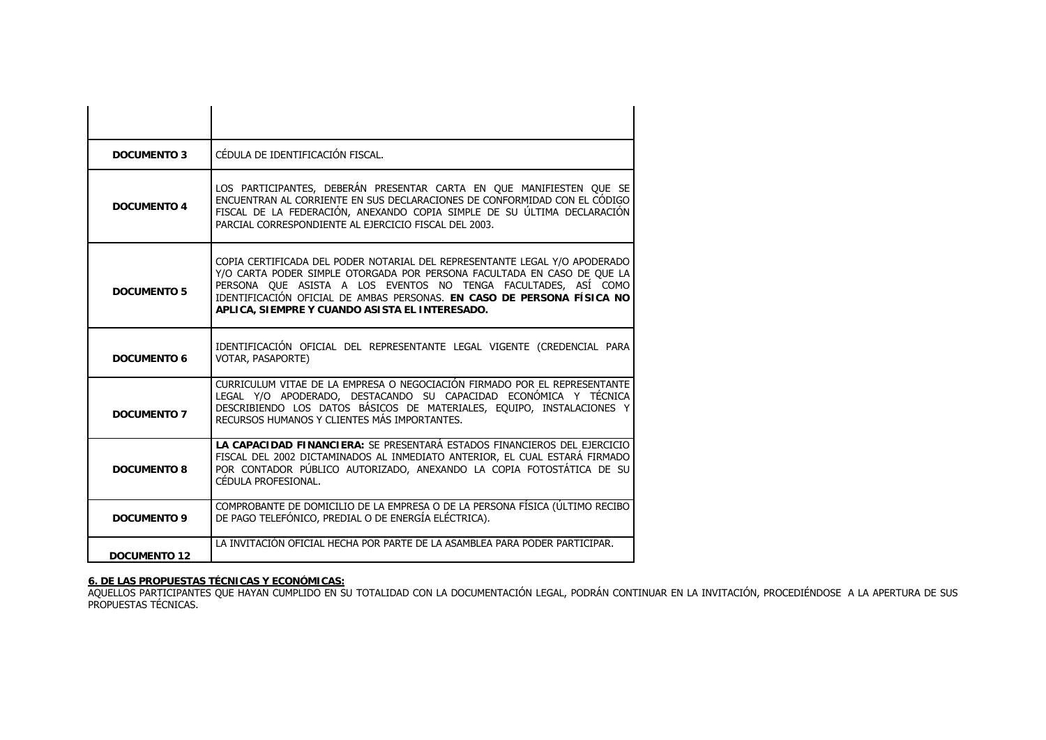| <b>DOCUMENTO 3</b>  | CÉDULA DE IDENTIFICACIÓN FISCAL.                                                                                                                                                                                                                                                                                                                    |
|---------------------|-----------------------------------------------------------------------------------------------------------------------------------------------------------------------------------------------------------------------------------------------------------------------------------------------------------------------------------------------------|
| <b>DOCUMENTO 4</b>  | LOS PARTICIPANTES, DEBERÁN PRESENTAR CARTA EN QUE MANIFIESTEN QUE SE<br>ENCUENTRAN AL CORRIENTE EN SUS DECLARACIONES DE CONFORMIDAD CON EL CÓDIGO<br>FISCAL DE LA FEDERACIÓN, ANEXANDO COPIA SIMPLE DE SU ÚLTIMA DECLARACIÓN<br>PARCIAL CORRESPONDIENTE AL EJERCICIO FISCAL DEL 2003.                                                               |
| <b>DOCUMENTO 5</b>  | COPIA CERTIFICADA DEL PODER NOTARIAL DEL REPRESENTANTE LEGAL Y/O APODERADO<br>Y/O CARTA PODER SIMPLE OTORGADA POR PERSONA FACULTADA EN CASO DE QUE LA<br>PERSONA QUE ASISTA A LOS EVENTOS NO TENGA FACULTADES, ASÍ COMO<br>IDENTIFICACIÓN OFICIAL DE AMBAS PERSONAS. EN CASO DE PERSONA FÍSICA NO<br>APLICA, SIEMPRE Y CUANDO ASISTA EL INTERESADO. |
| <b>DOCUMENTO 6</b>  | IDENTIFICACIÓN OFICIAL DEL REPRESENTANTE LEGAL VIGENTE (CREDENCIAL PARA<br>VOTAR, PASAPORTE)                                                                                                                                                                                                                                                        |
| <b>DOCUMENTO 7</b>  | CURRICULUM VITAE DE LA EMPRESA O NEGOCIACIÓN FIRMADO POR EL REPRESENTANTE<br>LEGAL Y/O APODERADO, DESTACANDO SU CAPACIDAD ECONÓMICA Y TÉCNICA<br>DESCRIBIENDO LOS DATOS BÁSICOS DE MATERIALES, EQUIPO, INSTALACIONES Y<br>RECURSOS HUMANOS Y CLIENTES MÁS IMPORTANTES.                                                                              |
| <b>DOCUMENTO 8</b>  | LA CAPACIDAD FINANCIERA: SE PRESENTARÁ ESTADOS FINANCIEROS DEL EJERCICIO<br>FISCAL DEL 2002 DICTAMINADOS AL INMEDIATO ANTERIOR, EL CUAL ESTARÁ FIRMADO<br>POR CONTADOR PÚBLICO AUTORIZADO, ANEXANDO LA COPIA FOTOSTÁTICA DE SU<br>CÉDULA PROFESIONAL.                                                                                               |
| <b>DOCUMENTO 9</b>  | COMPROBANTE DE DOMICILIO DE LA EMPRESA O DE LA PERSONA FÍSICA (ÚLTIMO RECIBO<br>DE PAGO TELEFÓNICO, PREDIAL O DE ENERGÍA ELÉCTRICA).                                                                                                                                                                                                                |
| <b>DOCUMENTO 12</b> | LA INVITACIÓN OFICIAL HECHA POR PARTE DE LA ASAMBLEA PARA PODER PARTICIPAR.                                                                                                                                                                                                                                                                         |

**6. DE LAS PROPUESTAS TÉCNICAS Y ECONÓMICAS:**<br>AQUELLOS PARTICIPANTES QUE HAYAN CUMPLIDO EN SU TOTALIDAD CON LA DOCUMENTACIÓN LEGAL, PODRÁN CONTINUAR EN LA INVITACIÓN, PROCEDIÉNDOSE A LA APERTURA DE SUS PROPUESTAS TÉCNICAS.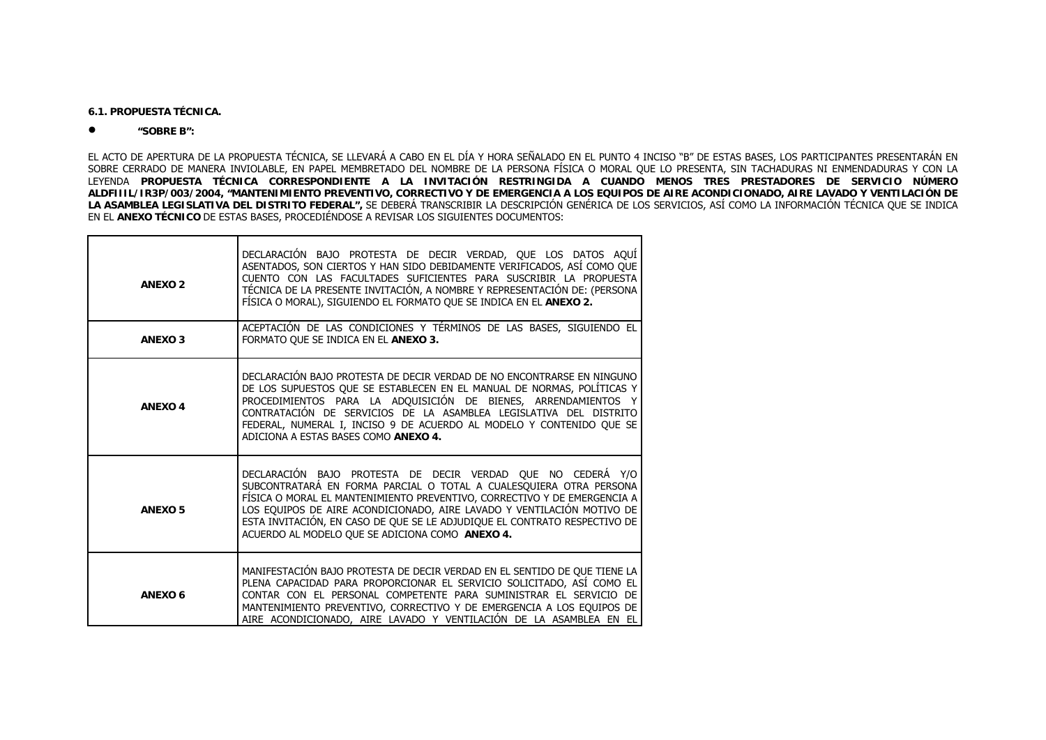**6.1. PROPUESTA TÉCNICA.**

#### •**"SOBRE B":**

EL ACTO DE APERTURA DE LA PROPUESTA TÉCNICA, SE LLEVARÁ A CABO EN EL DÍA Y HORA SEÑALADO EN EL PUNTO 4 INCISO "B" DE ESTAS BASES, LOS PARTICIPANTES PRESENTARÁN EN SOBRE CERRADO DE MANERA INVIOLABLE, EN PAPEL MEMBRETADO DEL NOMBRE DE LA PERSONA FÍSICA O MORAL QUE LO PRESENTA, SIN TACHADURAS NI ENMENDADURAS Y CON LA LEYENDA **PROPUESTA TÉCNICA CORRESPONDIENTE A LA INVITACIÓN RESTRINGIDA A CUANDO MENOS TRES PRESTADORES DE SERVICIO NÚMERO ALDFIIIL/IR3P/003/2004, "MANTENIMIENTO PREVENTIVO, CORRECTIVO Y DE EMERGENCIA A LOS EQUIPOS DE AIRE ACONDICIONADO, AIRE LAVADO Y VENTILACIÓN DE LA ASAMBLEA LEGISLATIVA DEL DISTRITO FEDERAL",** SE DEBERÁ TRANSCRIBIR LA DESCRIPCIÓN GENÉRICA DE LOS SERVICIOS, ASÍ COMO LA INFORMACIÓN TÉCNICA QUE SE INDICA EN EL **ANEXO TÉCNICO** DE ESTAS BASES, PROCEDIÉNDOSE A REVISAR LOS SIGUIENTES DOCUMENTOS:

| <b>ANEXO2</b>  | DECLARACIÓN BAJO PROTESTA DE DECIR VERDAD, QUE LOS DATOS AQUÍ<br>ASENTADOS, SON CIERTOS Y HAN SIDO DEBIDAMENTE VERIFICADOS, ASÍ COMO QUE<br>CUENTO CON LAS FACULTADES SUFICIENTES PARA SUSCRIBIR LA PROPUESTA<br>TÉCNICA DE LA PRESENTE INVITACIÓN, A NOMBRE Y REPRESENTACIÓN DE: (PERSONA<br>FÍSICA O MORAL), SIGUIENDO EL FORMATO QUE SE INDICA EN EL ANEXO 2.                                                        |
|----------------|-------------------------------------------------------------------------------------------------------------------------------------------------------------------------------------------------------------------------------------------------------------------------------------------------------------------------------------------------------------------------------------------------------------------------|
| <b>ANEXO3</b>  | ACEPTACIÓN DE LAS CONDICIONES Y TÉRMINOS DE LAS BASES, SIGUIENDO EL<br>FORMATO OUE SE INDICA EN EL ANEXO 3.                                                                                                                                                                                                                                                                                                             |
| <b>ANEXO4</b>  | DECLARACIÓN BAJO PROTESTA DE DECIR VERDAD DE NO ENCONTRARSE EN NINGUNO<br>DE LOS SUPUESTOS QUE SE ESTABLECEN EN EL MANUAL DE NORMAS, POLÍTICAS Y<br>PROCEDIMIENTOS PARA LA ADQUISICIÓN DE BIENES, ARRENDAMIENTOS Y<br>CONTRATACIÓN DE SERVICIOS DE LA ASAMBLEA LEGISLATIVA DEL DISTRITO<br>FEDERAL, NUMERAL I, INCISO 9 DE ACUERDO AL MODELO Y CONTENIDO QUE SE<br>ADICIONA A ESTAS BASES COMO ANEXO 4.                 |
| <b>ANEXO5</b>  | DECLARACIÓN BAJO PROTESTA DE DECIR VERDAD QUE NO CEDERÁ Y/O<br>SUBCONTRATARÁ EN FORMA PARCIAL O TOTAL A CUALESQUIERA OTRA PERSONA<br>FÍSICA O MORAL EL MANTENIMIENTO PREVENTIVO, CORRECTIVO Y DE EMERGENCIA A<br>LOS EQUIPOS DE AIRE ACONDICIONADO, AIRE LAVADO Y VENTILACIÓN MOTIVO DE<br>ESTA INVITACIÓN, EN CASO DE QUE SE LE ADJUDIQUE EL CONTRATO RESPECTIVO DE<br>ACUERDO AL MODELO OUE SE ADICIONA COMO ANEXO 4. |
| <b>ANEXO 6</b> | MANIFESTACIÓN BAJO PROTESTA DE DECIR VERDAD EN EL SENTIDO DE QUE TIENE LA<br>PLENA CAPACIDAD PARA PROPORCIONAR EL SERVICIO SOLICITADO, ASÍ COMO EL<br>CONTAR CON EL PERSONAL COMPETENTE PARA SUMINISTRAR EL SERVICIO DE<br>MANTENIMIENTO PREVENTIVO, CORRECTIVO Y DE EMERGENCIA A LOS EQUIPOS DE<br>AIRE ACONDICIONADO, AIRE LAVADO Y VENTILACIÓN DE LA ASAMBLEA EN EL                                                  |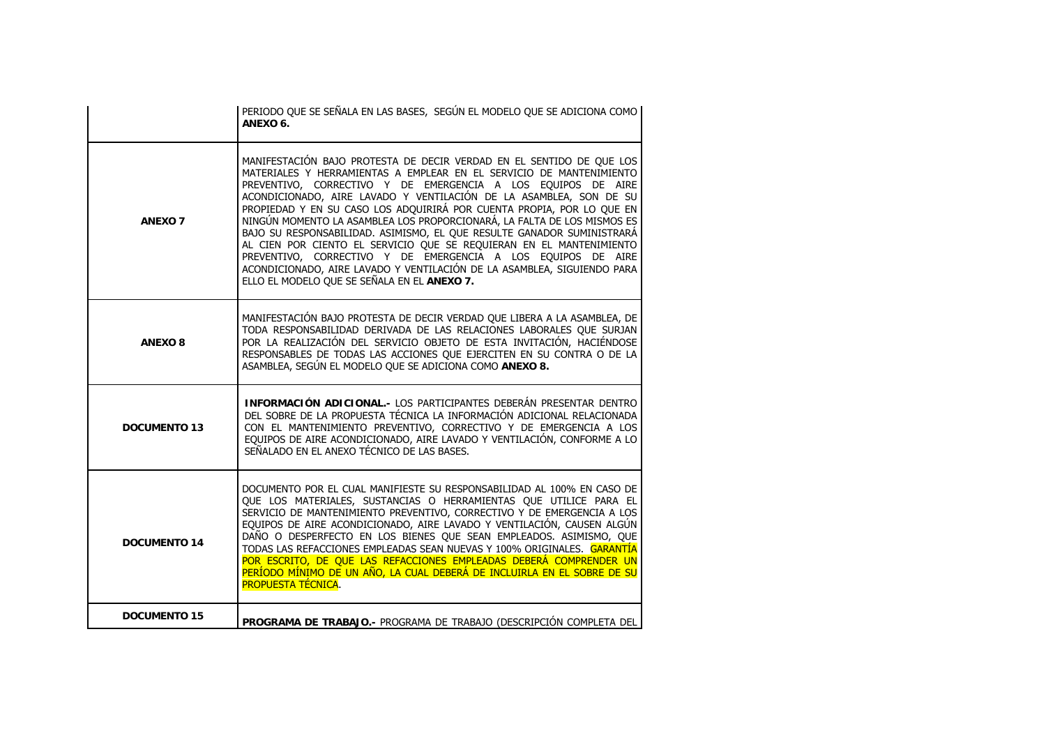|                     | PERIODO QUE SE SEÑALA EN LAS BASES, SEGÚN EL MODELO QUE SE ADICIONA COMO<br>ANEXO 6.                                                                                                                                                                                                                                                                                                                                                                                                                                                                                                                                                                                                                                                                                             |
|---------------------|----------------------------------------------------------------------------------------------------------------------------------------------------------------------------------------------------------------------------------------------------------------------------------------------------------------------------------------------------------------------------------------------------------------------------------------------------------------------------------------------------------------------------------------------------------------------------------------------------------------------------------------------------------------------------------------------------------------------------------------------------------------------------------|
| <b>ANEXO 7</b>      | MANIFESTACIÓN BAJO PROTESTA DE DECIR VERDAD EN EL SENTIDO DE QUE LOS<br>MATERIALES Y HERRAMIENTAS A EMPLEAR EN EL SERVICIO DE MANTENIMIENTO<br>PREVENTIVO, CORRECTIVO Y DE EMERGENCIA A LOS EQUIPOS DE AIRE<br>ACONDICIONADO, AIRE LAVADO Y VENTILACIÓN DE LA ASAMBLEA, SON DE SU<br>PROPIEDAD Y EN SU CASO LOS ADQUIRIRÁ POR CUENTA PROPIA, POR LO QUE EN<br>NINGÚN MOMENTO LA ASAMBLEA LOS PROPORCIONARÁ, LA FALTA DE LOS MISMOS ES<br>BAJO SU RESPONSABILIDAD. ASIMISMO, EL QUE RESULTE GANADOR SUMINISTRARÁ<br>AL CIEN POR CIENTO EL SERVICIO QUE SE REQUIERAN EN EL MANTENIMIENTO<br>PREVENTIVO, CORRECTIVO Y DE EMERGENCIA A LOS EQUIPOS DE AIRE<br>ACONDICIONADO, AIRE LAVADO Y VENTILACIÓN DE LA ASAMBLEA, SIGUIENDO PARA<br>ELLO EL MODELO QUE SE SEÑALA EN EL ANEXO 7. |
| <b>ANEXO 8</b>      | MANIFESTACIÓN BAJO PROTESTA DE DECIR VERDAD QUE LIBERA A LA ASAMBLEA, DE<br>TODA RESPONSABILIDAD DERIVADA DE LAS RELACIONES LABORALES QUE SURJAN<br>POR LA REALIZACIÓN DEL SERVICIO OBJETO DE ESTA INVITACIÓN, HACIÉNDOSE<br>RESPONSABLES DE TODAS LAS ACCIONES QUE EJERCITEN EN SU CONTRA O DE LA<br>ASAMBLEA, SEGÚN EL MODELO QUE SE ADICIONA COMO ANEXO 8.                                                                                                                                                                                                                                                                                                                                                                                                                    |
| <b>DOCUMENTO 13</b> | INFORMACIÓN ADICIONAL.- LOS PARTICIPANTES DEBERÁN PRESENTAR DENTRO<br>DEL SOBRE DE LA PROPUESTA TÉCNICA LA INFORMACIÓN ADICIONAL RELACIONADA<br>CON EL MANTENIMIENTO PREVENTIVO, CORRECTIVO Y DE EMERGENCIA A LOS<br>EQUIPOS DE AIRE ACONDICIONADO, AIRE LAVADO Y VENTILACIÓN, CONFORME A LO<br>SEÑALADO EN EL ANEXO TÉCNICO DE LAS BASES.                                                                                                                                                                                                                                                                                                                                                                                                                                       |
| <b>DOCUMENTO 14</b> | DOCUMENTO POR EL CUAL MANIFIESTE SU RESPONSABILIDAD AL 100% EN CASO DE<br>QUE LOS MATERIALES, SUSTANCIAS O HERRAMIENTAS QUE UTILICE PARA EL<br>SERVICIO DE MANTENIMIENTO PREVENTIVO, CORRECTIVO Y DE EMERGENCIA A LOS<br>EQUIPOS DE AIRE ACONDICIONADO, AIRE LAVADO Y VENTILACIÓN, CAUSEN ALGÚN<br>DAÑO O DESPERFECTO EN LOS BIENES QUE SEAN EMPLEADOS. ASIMISMO, QUE<br>TODAS LAS REFACCIONES EMPLEADAS SEAN NUEVAS Y 100% ORIGINALES. GARANTÍA<br>POR ESCRITO, DE QUE LAS REFACCIONES EMPLEADAS DEBERÁ COMPRENDER UN<br>PERÍODO MÍNIMO DE UN AÑO, LA CUAL DEBERÁ DE INCLUIRLA EN EL SOBRE DE SU<br><b>PROPUESTA TÉCNICA.</b>                                                                                                                                                   |
| <b>DOCUMENTO 15</b> | PROGRAMA DE TRABAJO.- PROGRAMA DE TRABAJO (DESCRIPCIÓN COMPLETA DEL                                                                                                                                                                                                                                                                                                                                                                                                                                                                                                                                                                                                                                                                                                              |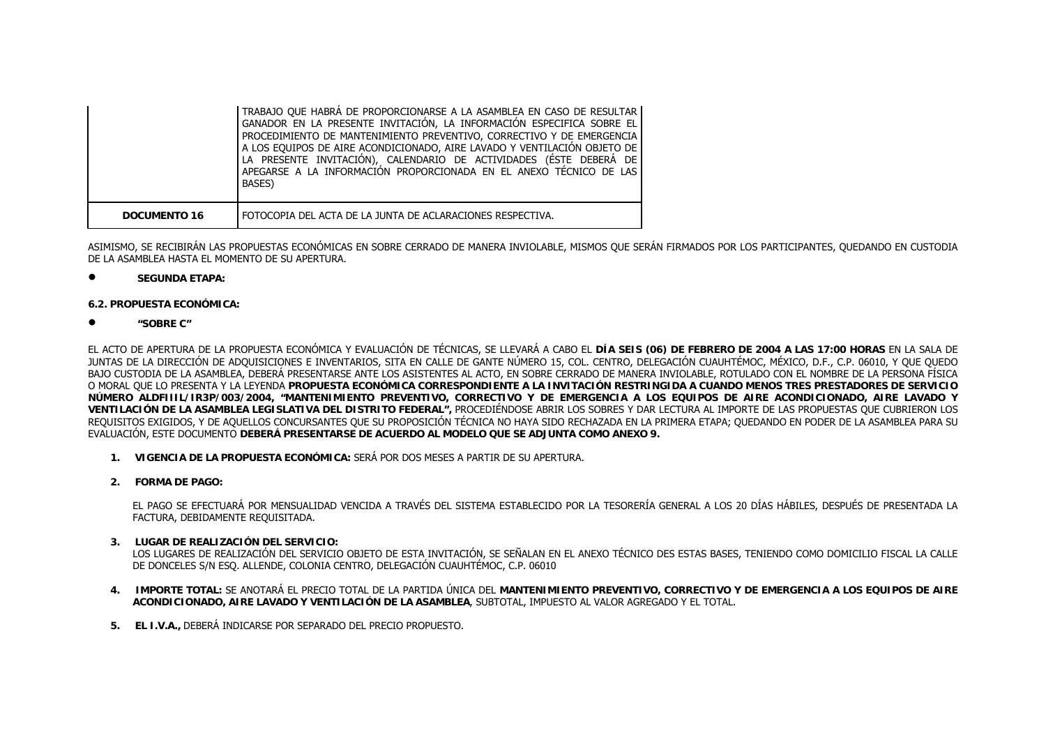|              | TRABAJO OUE HABRÁ DE PROPORCIONARSE A LA ASAMBLEA EN CASO DE RESULTAR<br>GANADOR EN LA PRESENTE INVITACIÓN, LA INFORMACIÓN ESPECIFICA SOBRE EL<br>PROCEDIMIENTO DE MANTENIMIENTO PREVENTIVO, CORRECTIVO Y DE EMERGENCIA<br>A LOS EQUIPOS DE AIRE ACONDICIONADO, AIRE LAVADO Y VENTILACIÓN OBJETO DE<br>LA PRESENTE INVITACIÓN), CALENDARIO DE ACTIVIDADES (ÉSTE DEBERÁ DE<br>APEGARSE A LA INFORMACIÓN PROPORCIONADA EN EL ANEXO TÉCNICO DE LAS<br>BASES) |
|--------------|-----------------------------------------------------------------------------------------------------------------------------------------------------------------------------------------------------------------------------------------------------------------------------------------------------------------------------------------------------------------------------------------------------------------------------------------------------------|
| DOCUMENTO 16 | FOTOCOPIA DEL ACTA DE LA JUNTA DE ACLARACIONES RESPECTIVA.                                                                                                                                                                                                                                                                                                                                                                                                |

ASIMISMO, SE RECIBIRÁN LAS PROPUESTAS ECONÓMICAS EN SOBRE CERRADO DE MANERA INVIOLABLE, MISMOS QUE SERÁN FIRMADOS POR LOS PARTICIPANTES, QUEDANDO EN CUSTODIA DE LA ASAMBLEA HASTA EL MOMENTO DE SU APERTURA.

•**SEGUNDA ETAPA:**

## **6.2. PROPUESTA ECONÓMICA:**

•**"SOBRE C"**

EL ACTO DE APERTURA DE LA PROPUESTA ECONÓMICA Y EVALUACIÓN DE TÉCNICAS, SE LLEVARÁ A CABO EL **DÍA SEIS (06) DE FEBRERO DE 2004 A LAS 17:00 HORAS** EN LA SALA DE JUNTAS DE LA DIRECCIÓN DE ADQUISICIONES E INVENTARIOS, SITA EN CALLE DE GANTE NÚMERO 15, COL. CENTRO, DELEGACIÓN CUAUHTÉMOC, MÉXICO, D.F., C.P. 06010, Y QUE QUEDO BAJO CUSTODIA DE LA ASAMBLEA, DEBERÁ PRESENTARSE ANTE LOS ASISTENTES AL ACTO, EN SOBRE CERRADO DE MANERA INVIOLABLE, ROTULADO CON EL NOMBRE DE LA PERSONA FÍSICA O MORAL QUE LO PRESENTA Y LA LEYENDA **PROPUESTA ECONÓMICA CORRESPONDIENTE A LA INVITACIÓN RESTRINGIDA A CUANDO MENOS TRES PRESTADORES DE SERVICIO NÚMERO ALDFIIIL/IR3P/003/2004, "MANTENIMIENTO PREVENTIVO, CORRECTIVO Y DE EMERGENCIA A LOS EQUIPOS DE AIRE ACONDICIONADO, AIRE LAVADO Y VENTILACIÓN DE LA ASAMBLEA LEGISLATIVA DEL DISTRITO FEDERAL",** PROCEDIÉNDOSE ABRIR LOS SOBRES Y DAR LECTURA AL IMPORTE DE LAS PROPUESTAS QUE CUBRIERON LOS REQUISITOS EXIGIDOS, Y DE AQUELLOS CONCURSANTES QUE SU PROPOSICIÓN TÉCNICA NO HAYA SIDO RECHAZADA EN LA PRIMERA ETAPA; QUEDANDO EN PODER DE LA ASAMBLEA PARA SU EVALUACIÓN, ESTE DOCUMENTO **DEBERÁ PRESENTARSE DE ACUERDO AL MODELO QUE SE ADJUNTA COMO ANEXO 9.**

- **1. VIGENCIA DE LA PROPUESTA ECONÓMICA:** SERÁ POR DOS MESES A PARTIR DE SU APERTURA.
- **2. FORMA DE PAGO:**

EL PAGO SE EFECTUARÁ POR MENSUALIDAD VENCIDA A TRAVÉS DEL SISTEMA ESTABLECIDO POR LA TESORERÍA GENERAL A LOS 20 DÍAS HÁBILES, DESPUÉS DE PRESENTADA LA FACTURA, DEBIDAMENTE REQUISITADA.

**3. LUGAR DE REALIZACIÓN DEL SERVICIO:**

LOS LUGARES DE REALIZACIÓN DEL SERVICIO OBJETO DE ESTA INVITACIÓN, SE SEÑALAN EN EL ANEXO TÉCNICO DES ESTAS BASES, TENIENDO COMO DOMICILIO FISCAL LA CALLE DE DONCELES S/N ESQ. ALLENDE, COLONIA CENTRO, DELEGACIÓN CUAUHTÉMOC, C.P. 06010

- **4. IMPORTE TOTAL:** SE ANOTARÁ EL PRECIO TOTAL DE LA PARTIDA ÚNICA DEL **MANTENIMIENTO PREVENTIVO, CORRECTIVO Y DE EMERGENCIA A LOS EQUIPOS DE AIRE ACONDICIONADO, AIRE LAVADO Y VENTILACIÓN DE LA ASAMBLEA**, SUBTOTAL, IMPUESTO AL VALOR AGREGADO Y EL TOTAL.
- **5. EL I.V.A.,** DEBERÁ INDICARSE POR SEPARADO DEL PRECIO PROPUESTO.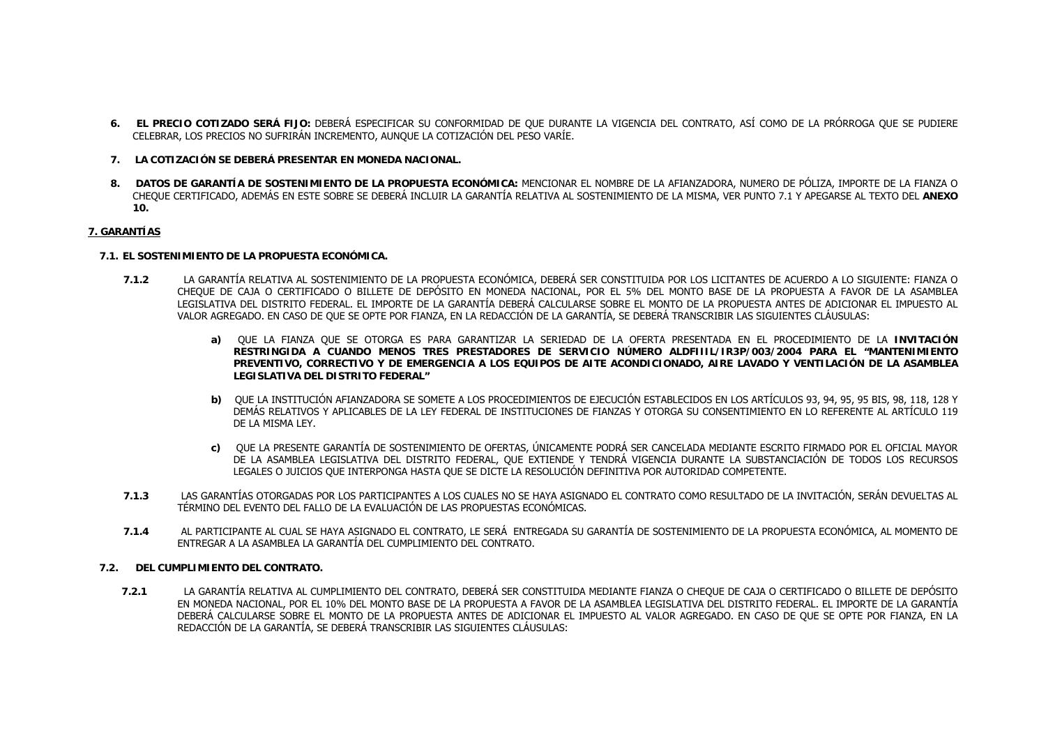- **6. EL PRECIO COTIZADO SERÁ FIJO:** DEBERÁ ESPECIFICAR SU CONFORMIDAD DE QUE DURANTE LA VIGENCIA DEL CONTRATO, ASÍ COMO DE LA PRÓRROGA QUE SE PUDIERE CELEBRAR, LOS PRECIOS NO SUFRIRÁN INCREMENTO, AUNQUE LA COTIZACIÓN DEL PESO VARÍE.
- **7. LA COTIZACIÓN SE DEBERÁ PRESENTAR EN MONEDA NACIONAL.**
- **8. DATOS DE GARANTÍA DE SOSTENIMIENTO DE LA PROPUESTA ECONÓMICA:** MENCIONAR EL NOMBRE DE LA AFIANZADORA, NUMERO DE PÓLIZA, IMPORTE DE LA FIANZA O CHEQUE CERTIFICADO, ADEMÁS EN ESTE SOBRE SE DEBERÁ INCLUIR LA GARANTÍA RELATIVA AL SOSTENIMIENTO DE LA MISMA, VER PUNTO 7.1 Y APEGARSE AL TEXTO DEL **ANEXO 10.**

## **7. GARANTÍAS**

## **7.1. EL SOSTENIMIENTO DE LA PROPUESTA ECONÓMICA.**

- **7.1.2** LA GARANTÍA RELATIVA AL SOSTENIMIENTO DE LA PROPUESTA ECONÓMICA, DEBERÁ SER CONSTITUIDA POR LOS LICITANTES DE ACUERDO A LO SIGUIENTE: FIANZA O CHEQUE DE CAJA O CERTIFICADO O BILLETE DE DEPÓSITO EN MONEDA NACIONAL, POR EL 5% DEL MONTO BASE DE LA PROPUESTA A FAVOR DE LA ASAMBLEA LEGISLATIVA DEL DISTRITO FEDERAL. EL IMPORTE DE LA GARANTÍA DEBERÁ CALCULARSE SOBRE EL MONTO DE LA PROPUESTA ANTES DE ADICIONAR EL IMPUESTO AL VALOR AGREGADO. EN CASO DE QUE SE OPTE POR FIANZA, EN LA REDACCIÓN DE LA GARANTÍA, SE DEBERÁ TRANSCRIBIR LAS SIGUIENTES CLÁUSULAS:
	- **a)** QUE LA FIANZA QUE SE OTORGA ES PARA GARANTIZAR LA SERIEDAD DE LA OFERTA PRESENTADA EN EL PROCEDIMIENTO DE LA **INVITACIÓN RESTRINGIDA A CUANDO MENOS TRES PRESTADORES DE SERVICIO NÚMERO ALDFIIIL/IR3P/003/2004 PARA EL "MANTENIMIENTO PREVENTIVO, CORRECTIVO Y DE EMERGENCIA A LOS EQUIPOS DE AITE ACONDICIONADO, AIRE LAVADO Y VENTILACIÓN DE LA ASAMBLEA LEGISLATIVA DEL DISTRITO FEDERAL"**
	- **b)** QUE LA INSTITUCIÓN AFIANZADORA SE SOMETE A LOS PROCEDIMIENTOS DE EJECUCIÓN ESTABLECIDOS EN LOS ARTÍCULOS 93, 94, 95, 95 BIS, 98, 118, 128 Y DEMÁS RELATIVOS Y APLICABLES DE LA LEY FEDERAL DE INSTITUCIONES DE FIANZAS Y OTORGA SU CONSENTIMIENTO EN LO REFERENTE AL ARTÍCULO 119 DE LA MISMA LEY.
	- **c)** QUE LA PRESENTE GARANTÍA DE SOSTENIMIENTO DE OFERTAS, ÚNICAMENTE PODRÁ SER CANCELADA MEDIANTE ESCRITO FIRMADO POR EL OFICIAL MAYOR DE LA ASAMBLEA LEGISLATIVA DEL DISTRITO FEDERAL, QUE EXTIENDE Y TENDRÁ VIGENCIA DURANTE LA SUBSTANCIACIÓN DE TODOS LOS RECURSOS LEGALES O JUICIOS QUE INTERPONGA HASTA QUE SE DICTE LA RESOLUCIÓN DEFINITIVA POR AUTORIDAD COMPETENTE.
- **7.1.3** LAS GARANTÍAS OTORGADAS POR LOS PARTICIPANTES A LOS CUALES NO SE HAYA ASIGNADO EL CONTRATO COMO RESULTADO DE LA INVITACIÓN, SERÁN DEVUELTAS AL TÉRMINO DEL EVENTO DEL FALLO DE LA EVALUACIÓN DE LAS PROPUESTAS ECONÓMICAS.
- **7.1.4** AL PARTICIPANTE AL CUAL SE HAYA ASIGNADO EL CONTRATO, LE SERÁ ENTREGADA SU GARANTÍA DE SOSTENIMIENTO DE LA PROPUESTA ECONÓMICA, AL MOMENTO DE ENTREGAR A LA ASAMBLEA LA GARANTÍA DEL CUMPLIMIENTO DEL CONTRATO.

## **7.2. DEL CUMPLIMIENTO DEL CONTRATO.**

**7.2.1** LA GARANTÍA RELATIVA AL CUMPLIMIENTO DEL CONTRATO, DEBERÁ SER CONSTITUIDA MEDIANTE FIANZA O CHEQUE DE CAJA O CERTIFICADO O BILLETE DE DEPÓSITO EN MONEDA NACIONAL, POR EL 10% DEL MONTO BASE DE LA PROPUESTA A FAVOR DE LA ASAMBLEA LEGISLATIVA DEL DISTRITO FEDERAL. EL IMPORTE DE LA GARANTÍA DEBERÁ CALCULARSE SOBRE EL MONTO DE LA PROPUESTA ANTES DE ADICIONAR EL IMPUESTO AL VALOR AGREGADO. EN CASO DE QUE SE OPTE POR FIANZA, EN LA REDACCIÓN DE LA GARANTÍA, SE DEBERÁ TRANSCRIBIR LAS SIGUIENTES CLÁUSULAS: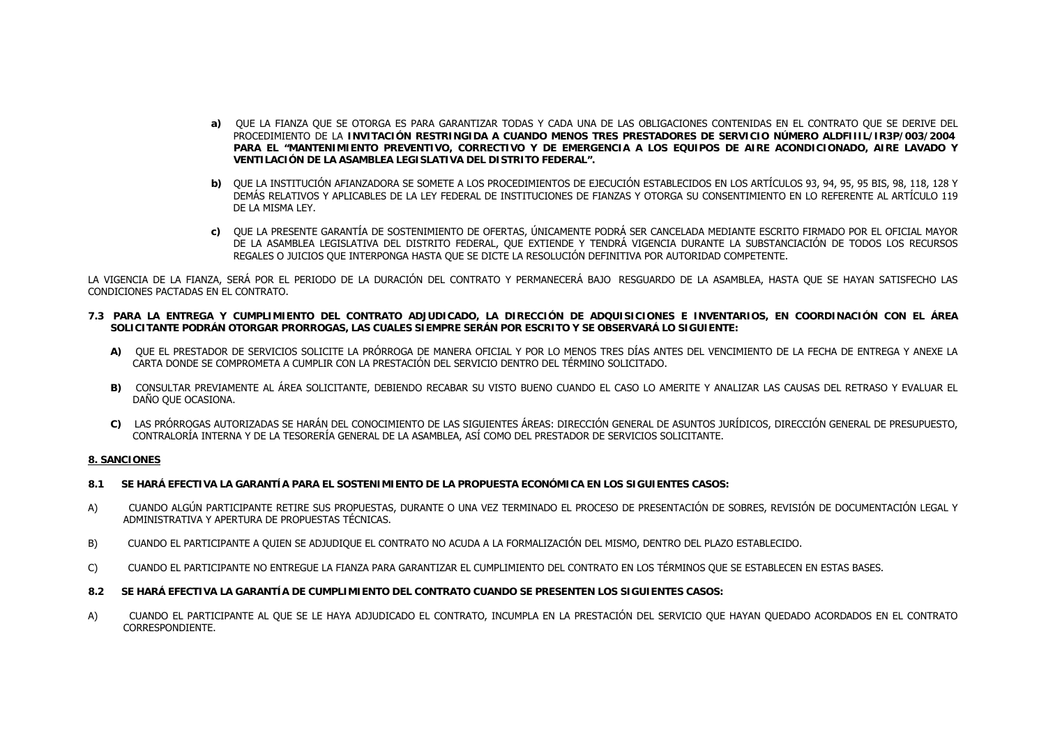- **a)** QUE LA FIANZA QUE SE OTORGA ES PARA GARANTIZAR TODAS Y CADA UNA DE LAS OBLIGACIONES CONTENIDAS EN EL CONTRATO QUE SE DERIVE DEL PROCEDIMIENTO DE LA **INVITACIÓN RESTRINGIDA A CUANDO MENOS TRES PRESTADORES DE SERVICIO NÚMERO ALDFIIIL/IR3P/003/2004 PARA EL "MANTENIMIENTO PREVENTIVO, CORRECTIVO Y DE EMERGENCIA A LOS EQUIPOS DE AIRE ACONDICIONADO, AIRE LAVADO Y VENTILACIÓN DE LA ASAMBLEA LEGISLATIVA DEL DISTRITO FEDERAL".**
- **b)** QUE LA INSTITUCIÓN AFIANZADORA SE SOMETE A LOS PROCEDIMIENTOS DE EJECUCIÓN ESTABLECIDOS EN LOS ARTÍCULOS 93, 94, 95, 95 BIS, 98, 118, 128 Y DEMÁS RELATIVOS Y APLICABLES DE LA LEY FEDERAL DE INSTITUCIONES DE FIANZAS Y OTORGA SU CONSENTIMIENTO EN LO REFERENTE AL ARTÍCULO 119 DE LA MISMA LEY.
- **c)** QUE LA PRESENTE GARANTÍA DE SOSTENIMIENTO DE OFERTAS, ÚNICAMENTE PODRÁ SER CANCELADA MEDIANTE ESCRITO FIRMADO POR EL OFICIAL MAYOR DE LA ASAMBLEA LEGISLATIVA DEL DISTRITO FEDERAL, QUE EXTIENDE Y TENDRÁ VIGENCIA DURANTE LA SUBSTANCIACIÓN DE TODOS LOS RECURSOS REGALES O JUICIOS QUE INTERPONGA HASTA QUE SE DICTE LA RESOLUCIÓN DEFINITIVA POR AUTORIDAD COMPETENTE.

LA VIGENCIA DE LA FIANZA, SERÁ POR EL PERIODO DE LA DURACIÓN DEL CONTRATO Y PERMANECERÁ BAJO RESGUARDO DE LA ASAMBLEA, HASTA QUE SE HAYAN SATISFECHO LAS CONDICIONES PACTADAS EN EL CONTRATO.

- **7.3 PARA LA ENTREGA Y CUMPLIMIENTO DEL CONTRATO ADJUDICADO, LA DIRECCIÓN DE ADQUISICIONES E INVENTARIOS, EN COORDINACIÓN CON EL ÁREA SOLICITANTE PODRÁN OTORGAR PRORROGAS, LAS CUALES SIEMPRE SERÁN POR ESCRITO Y SE OBSERVARÁ LO SIGUIENTE:**
	- **A)** QUE EL PRESTADOR DE SERVICIOS SOLICITE LA PRÓRROGA DE MANERA OFICIAL Y POR LO MENOS TRES DÍAS ANTES DEL VENCIMIENTO DE LA FECHA DE ENTREGA Y ANEXE LA CARTA DONDE SE COMPROMETA A CUMPLIR CON LA PRESTACIÓN DEL SERVICIO DENTRO DEL TÉRMINO SOLICITADO.
	- **B)** CONSULTAR PREVIAMENTE AL ÁREA SOLICITANTE, DEBIENDO RECABAR SU VISTO BUENO CUANDO EL CASO LO AMERITE Y ANALIZAR LAS CAUSAS DEL RETRASO Y EVALUAR EL DAÑO QUE OCASIONA.
	- **C)** LAS PRÓRROGAS AUTORIZADAS SE HARÁN DEL CONOCIMIENTO DE LAS SIGUIENTES ÁREAS: DIRECCIÓN GENERAL DE ASUNTOS JURÍDICOS, DIRECCIÓN GENERAL DE PRESUPUESTO, CONTRALORÍA INTERNA Y DE LA TESORERÍA GENERAL DE LA ASAMBLEA, ASÍ COMO DEL PRESTADOR DE SERVICIOS SOLICITANTE.

## **8. SANCIONES**

- **8.1 SE HARÁ EFECTIVA LA GARANTÍA PARA EL SOSTENIMIENTO DE LA PROPUESTA ECONÓMICA EN LOS SIGUIENTES CASOS:**
- A) CUANDO ALGÚN PARTICIPANTE RETIRE SUS PROPUESTAS, DURANTE O UNA VEZ TERMINADO EL PROCESO DE PRESENTACIÓN DE SOBRES, REVISIÓN DE DOCUMENTACIÓN LEGAL Y ADMINISTRATIVA Y APERTURA DE PROPUESTAS TÉCNICAS.
- B) CUANDO EL PARTICIPANTE A QUIEN SE ADJUDIQUE EL CONTRATO NO ACUDA A LA FORMALIZACIÓN DEL MISMO, DENTRO DEL PLAZO ESTABLECIDO.
- C) CUANDO EL PARTICIPANTE NO ENTREGUE LA FIANZA PARA GARANTIZAR EL CUMPLIMIENTO DEL CONTRATO EN LOS TÉRMINOS QUE SE ESTABLECEN EN ESTAS BASES.
- **8.2 SE HARÁ EFECTIVA LA GARANTÍA DE CUMPLIMIENTO DEL CONTRATO CUANDO SE PRESENTEN LOS SIGUIENTES CASOS:**
- A) CUANDO EL PARTICIPANTE AL QUE SE LE HAYA ADJUDICADO EL CONTRATO, INCUMPLA EN LA PRESTACIÓN DEL SERVICIO QUE HAYAN QUEDADO ACORDADOS EN EL CONTRATO CORRESPONDIENTE.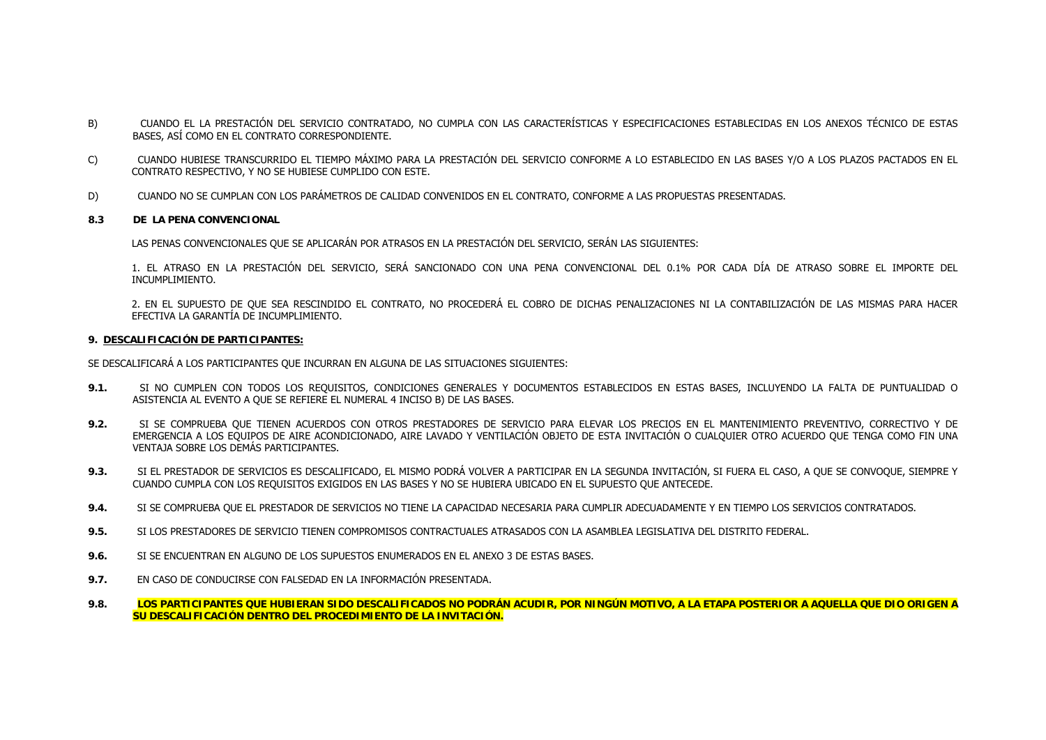- B) CUANDO EL LA PRESTACIÓN DEL SERVICIO CONTRATADO, NO CUMPLA CON LAS CARACTERÍSTICAS Y ESPECIFICACIONES ESTABLECIDAS EN LOS ANEXOS TÉCNICO DE ESTAS BASES, ASÍ COMO EN EL CONTRATO CORRESPONDIENTE.
- C) CUANDO HUBIESE TRANSCURRIDO EL TIEMPO MÁXIMO PARA LA PRESTACIÓN DEL SERVICIO CONFORME A LO ESTABLECIDO EN LAS BASES Y/O A LOS PLAZOS PACTADOS EN EL CONTRATO RESPECTIVO, Y NO SE HUBIESE CUMPLIDO CON ESTE.
- D) CUANDO NO SE CUMPLAN CON LOS PARÁMETROS DE CALIDAD CONVENIDOS EN EL CONTRATO, CONFORME A LAS PROPUESTAS PRESENTADAS.
- **8.3 DE LA PENA CONVENCIONAL**

LAS PENAS CONVENCIONALES QUE SE APLICARÁN POR ATRASOS EN LA PRESTACIÓN DEL SERVICIO, SERÁN LAS SIGUIENTES:

1. EL ATRASO EN LA PRESTACIÓN DEL SERVICIO, SERÁ SANCIONADO CON UNA PENA CONVENCIONAL DEL 0.1% POR CADA DÍA DE ATRASO SOBRE EL IMPORTE DEL INCUMPLIMIENTO.

2. EN EL SUPUESTO DE QUE SEA RESCINDIDO EL CONTRATO, NO PROCEDERÁ EL COBRO DE DICHAS PENALIZACIONES NI LA CONTABILIZACIÓN DE LAS MISMAS PARA HACER EFECTIVA LA GARANTÍA DE INCUMPLIMIENTO.

## **9. DESCALIFICACIÓN DE PARTICIPANTES:**

SE DESCALIFICARÁ A LOS PARTICIPANTES QUE INCURRAN EN ALGUNA DE LAS SITUACIONES SIGUIENTES:

- **9.1.** SI NO CUMPLEN CON TODOS LOS REQUISITOS, CONDICIONES GENERALES Y DOCUMENTOS ESTABLECIDOS EN ESTAS BASES, INCLUYENDO LA FALTA DE PUNTUALIDAD O ASISTENCIA AL EVENTO A QUE SE REFIERE EL NUMERAL 4 INCISO B) DE LAS BASES.
- **9.2.** SI SE COMPRUEBA QUE TIENEN ACUERDOS CON OTROS PRESTADORES DE SERVICIO PARA ELEVAR LOS PRECIOS EN EL MANTENIMIENTO PREVENTIVO, CORRECTIVO Y DE EMERGENCIA A LOS EQUIPOS DE AIRE ACONDICIONADO, AIRE LAVADO Y VENTILACIÓN OBJETO DE ESTA INVITACIÓN O CUALQUIER OTRO ACUERDO QUE TENGA COMO FIN UNA VENTAJA SOBRE LOS DEMÁS PARTICIPANTES.
- **9.3.** SI EL PRESTADOR DE SERVICIOS ES DESCALIFICADO, EL MISMO PODRÁ VOLVER A PARTICIPAR EN LA SEGUNDA INVITACIÓN, SI FUERA EL CASO, A QUE SE CONVOQUE, SIEMPRE Y CUANDO CUMPLA CON LOS REQUISITOS EXIGIDOS EN LAS BASES Y NO SE HUBIERA UBICADO EN EL SUPUESTO QUE ANTECEDE.
- **9.4.**SI SE COMPRUEBA QUE EL PRESTADOR DE SERVICIOS NO TIENE LA CAPACIDAD NECESARIA PARA CUMPLIR ADECUADAMENTE Y EN TIEMPO LOS SERVICIOS CONTRATADOS.
- **9.5.**SI LOS PRESTADORES DE SERVICIO TIENEN COMPROMISOS CONTRACTUALES ATRASADOS CON LA ASAMBLEA LEGISLATIVA DEL DISTRITO FEDERAL.
- **9.6.**SI SE ENCUENTRAN EN ALGUNO DE LOS SUPUESTOS ENUMERADOS EN EL ANEXO 3 DE ESTAS BASES.
- **9.7.**EN CASO DE CONDUCIRSE CON FALSEDAD EN LA INFORMACIÓN PRESENTADA.
- **9.8. LOS PARTICIPANTES QUE HUBIERAN SIDO DESCALIFICADOS NO PODRÁN ACUDIR, POR NINGÚN MOTIVO, A LA ETAPA POSTERIOR A AQUELLA QUE DIO ORIGEN A SU DESCALIFICACIÓN DENTRO DEL PROCEDIMIENTO DE LA INVITACIÓN.**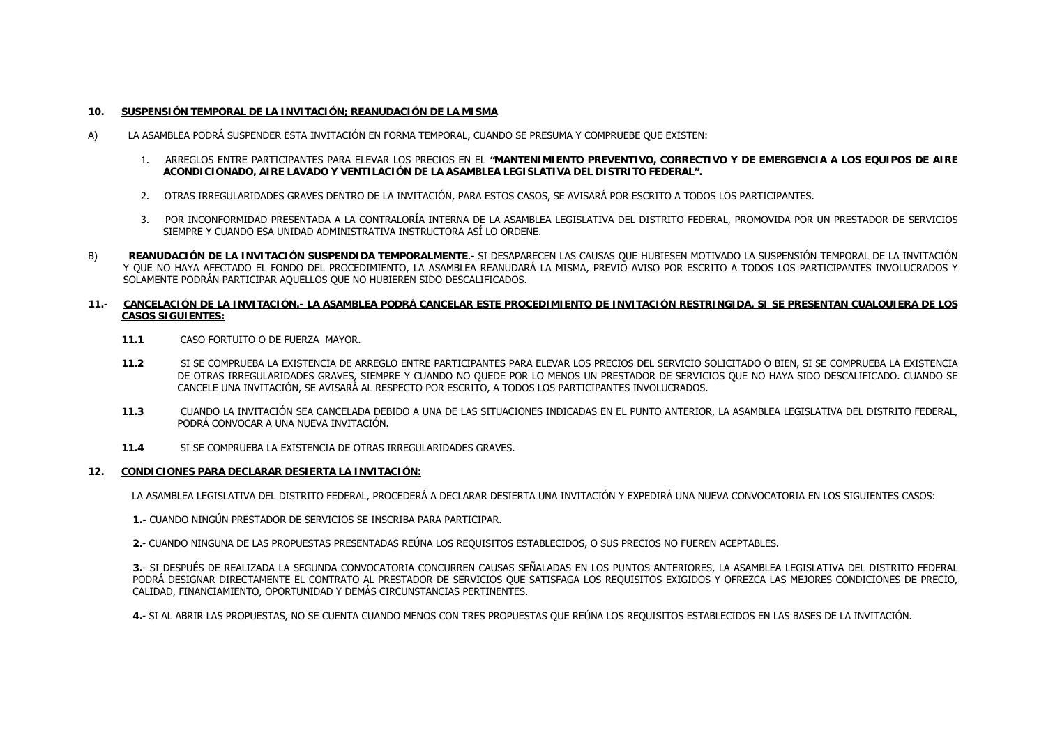### **10.SUSPENSIÓN TEMPORAL DE LA INVITACIÓN; REANUDACIÓN DE LA MISMA**

- A) LA ASAMBLEA PODRÁ SUSPENDER ESTA INVITACIÓN EN FORMA TEMPORAL, CUANDO SE PRESUMA Y COMPRUEBE QUE EXISTEN:
	- 1. ARREGLOS ENTRE PARTICIPANTES PARA ELEVAR LOS PRECIOS EN EL **"MANTENIMIENTO PREVENTIVO, CORRECTIVO Y DE EMERGENCIA A LOS EQUIPOS DE AIRE ACONDICIONADO, AIRE LAVADO Y VENTILACIÓN DE LA ASAMBLEA LEGISLATIVA DEL DISTRITO FEDERAL".**
	- 2. OTRAS IRREGULARIDADES GRAVES DENTRO DE LA INVITACIÓN, PARA ESTOS CASOS, SE AVISARÁ POR ESCRITO A TODOS LOS PARTICIPANTES.
	- 3. POR INCONFORMIDAD PRESENTADA A LA CONTRALORÍA INTERNA DE LA ASAMBLEA LEGISLATIVA DEL DISTRITO FEDERAL, PROMOVIDA POR UN PRESTADOR DE SERVICIOS SIEMPRE Y CUANDO ESA UNIDAD ADMINISTRATIVA INSTRUCTORA ASÍ LO ORDENE.
- B) **REANUDACIÓN DE LA INVITACIÓN SUSPENDIDA TEMPORALMENTE**.- SI DESAPARECEN LAS CAUSAS QUE HUBIESEN MOTIVADO LA SUSPENSIÓN TEMPORAL DE LA INVITACIÓN Y QUE NO HAYA AFECTADO EL FONDO DEL PROCEDIMIENTO, LA ASAMBLEA REANUDARÁ LA MISMA, PREVIO AVISO POR ESCRITO A TODOS LOS PARTICIPANTES INVOLUCRADOS Y SOLAMENTE PODRÁN PARTICIPAR AQUELLOS QUE NO HUBIEREN SIDO DESCALIFICADOS.

## **11.- CANCELACIÓN DE LA INVITACIÓN.- LA ASAMBLEA PODRÁ CANCELAR ESTE PROCEDIMIENTO DE INVITACIÓN RESTRINGIDA, SI SE PRESENTAN CUALQUIERA DE LOS CASOS SIGUIENTES:**

- **11.1**CASO FORTUITO O DE FUERZA MAYOR.
- **11.2** SI SE COMPRUEBA LA EXISTENCIA DE ARREGLO ENTRE PARTICIPANTES PARA ELEVAR LOS PRECIOS DEL SERVICIO SOLICITADO O BIEN, SI SE COMPRUEBA LA EXISTENCIA DE OTRAS IRREGULARIDADES GRAVES, SIEMPRE Y CUANDO NO QUEDE POR LO MENOS UN PRESTADOR DE SERVICIOS QUE NO HAYA SIDO DESCALIFICADO. CUANDO SE CANCELE UNA INVITACIÓN, SE AVISARÁ AL RESPECTO POR ESCRITO, A TODOS LOS PARTICIPANTES INVOLUCRADOS.
- **11.3** CUANDO LA INVITACIÓN SEA CANCELADA DEBIDO A UNA DE LAS SITUACIONES INDICADAS EN EL PUNTO ANTERIOR, LA ASAMBLEA LEGISLATIVA DEL DISTRITO FEDERAL, PODRÁ CONVOCAR A UNA NUEVA INVITACIÓN.
- **11.4**SI SE COMPRUEBA LA EXISTENCIA DE OTRAS IRREGULARIDADES GRAVES.

#### **12.CONDICIONES PARA DECLARAR DESIERTA LA INVITACIÓN:**

LA ASAMBLEA LEGISLATIVA DEL DISTRITO FEDERAL, PROCEDERÁ A DECLARAR DESIERTA UNA INVITACIÓN Y EXPEDIRÁ UNA NUEVA CONVOCATORIA EN LOS SIGUIENTES CASOS:

**1.-** CUANDO NINGÚN PRESTADOR DE SERVICIOS SE INSCRIBA PARA PARTICIPAR.

**2.**- CUANDO NINGUNA DE LAS PROPUESTAS PRESENTADAS REÚNA LOS REQUISITOS ESTABLECIDOS, O SUS PRECIOS NO FUEREN ACEPTABLES.

**3.**- SI DESPUÉS DE REALIZADA LA SEGUNDA CONVOCATORIA CONCURREN CAUSAS SEÑALADAS EN LOS PUNTOS ANTERIORES, LA ASAMBLEA LEGISLATIVA DEL DISTRITO FEDERAL PODRÁ DESIGNAR DIRECTAMENTE EL CONTRATO AL PRESTADOR DE SERVICIOS QUE SATISFAGA LOS REQUISITOS EXIGIDOS Y OFREZCA LAS MEJORES CONDICIONES DE PRECIO, CALIDAD, FINANCIAMIENTO, OPORTUNIDAD Y DEMÁS CIRCUNSTANCIAS PERTINENTES.

**4.**- SI AL ABRIR LAS PROPUESTAS, NO SE CUENTA CUANDO MENOS CON TRES PROPUESTAS QUE REÚNA LOS REQUISITOS ESTABLECIDOS EN LAS BASES DE LA INVITACIÓN.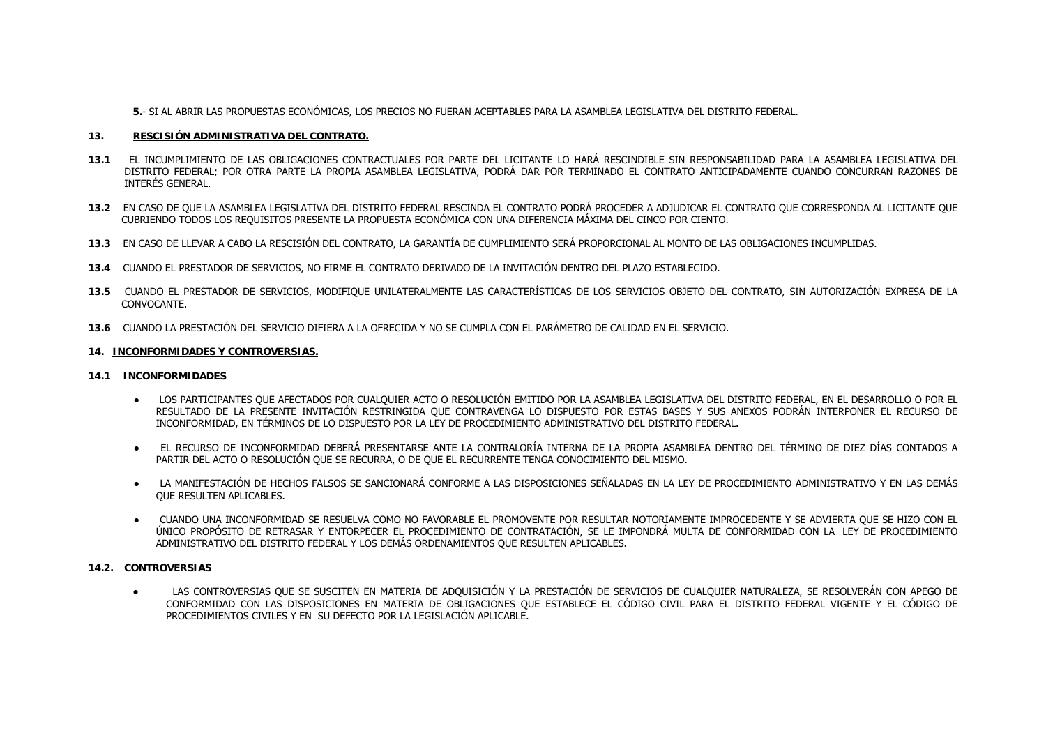**5.**- SI AL ABRIR LAS PROPUESTAS ECONÓMICAS, LOS PRECIOS NO FUERAN ACEPTABLES PARA LA ASAMBLEA LEGISLATIVA DEL DISTRITO FEDERAL.

## **13. RESCISIÓN ADMINISTRATIVA DEL CONTRATO.**

- **13.1** EL INCUMPLIMIENTO DE LAS OBLIGACIONES CONTRACTUALES POR PARTE DEL LICITANTE LO HARÁ RESCINDIBLE SIN RESPONSABILIDAD PARA LA ASAMBLEA LEGISLATIVA DEL DISTRITO FEDERAL; POR OTRA PARTE LA PROPIA ASAMBLEA LEGISLATIVA, PODRÁ DAR POR TERMINADO EL CONTRATO ANTICIPADAMENTE CUANDO CONCURRAN RAZONES DE INTERÉS GENERAL.
- **13.2** EN CASO DE QUE LA ASAMBLEA LEGISLATIVA DEL DISTRITO FEDERAL RESCINDA EL CONTRATO PODRÁ PROCEDER A ADJUDICAR EL CONTRATO QUE CORRESPONDA AL LICITANTE QUE CUBRIENDO TODOS LOS REQUISITOS PRESENTE LA PROPUESTA ECONÓMICA CON UNA DIFERENCIA MÁXIMA DEL CINCO POR CIENTO.
- **13.3** EN CASO DE LLEVAR A CABO LA RESCISIÓN DEL CONTRATO, LA GARANTÍA DE CUMPLIMIENTO SERÁ PROPORCIONAL AL MONTO DE LAS OBLIGACIONES INCUMPLIDAS.
- **13.4** CUANDO EL PRESTADOR DE SERVICIOS, NO FIRME EL CONTRATO DERIVADO DE LA INVITACIÓN DENTRO DEL PLAZO ESTABLECIDO.
- **13.5** CUANDO EL PRESTADOR DE SERVICIOS, MODIFIQUE UNILATERALMENTE LAS CARACTERÍSTICAS DE LOS SERVICIOS OBJETO DEL CONTRATO, SIN AUTORIZACIÓN EXPRESA DE LA CONVOCANTE.
- **13.6** CUANDO LA PRESTACIÓN DEL SERVICIO DIFIERA A LA OFRECIDA Y NO SE CUMPLA CON EL PARÁMETRO DE CALIDAD EN EL SERVICIO.

## **14. INCONFORMIDADES Y CONTROVERSIAS.**

## **14.1 INCONFORMIDADES**

- LOS PARTICIPANTES QUE AFECTADOS POR CUALQUIER ACTO O RESOLUCIÓN EMITIDO POR LA ASAMBLEA LEGISLATIVA DEL DISTRITO FEDERAL, EN EL DESARROLLO O POR EL RESULTADO DE LA PRESENTE INVITACIÓN RESTRINGIDA QUE CONTRAVENGA LO DISPUESTO POR ESTAS BASES Y SUS ANEXOS PODRÁN INTERPONER EL RECURSO DE INCONFORMIDAD, EN TÉRMINOS DE LO DISPUESTO POR LA LEY DE PROCEDIMIENTO ADMINISTRATIVO DEL DISTRITO FEDERAL.
- ● EL RECURSO DE INCONFORMIDAD DEBERÁ PRESENTARSE ANTE LA CONTRALORÍA INTERNA DE LA PROPIA ASAMBLEA DENTRO DEL TÉRMINO DE DIEZ DÍAS CONTADOS A PARTIR DEL ACTO O RESOLUCIÓN QUE SE RECURRA, O DE QUE EL RECURRENTE TENGA CONOCIMIENTO DEL MISMO.
- $\bullet$  LA MANIFESTACIÓN DE HECHOS FALSOS SE SANCIONARÁ CONFORME A LAS DISPOSICIONES SEÑALADAS EN LA LEY DE PROCEDIMIENTO ADMINISTRATIVO Y EN LAS DEMÁS QUE RESULTEN APLICABLES.
- $\bullet$  CUANDO UNA INCONFORMIDAD SE RESUELVA COMO NO FAVORABLE EL PROMOVENTE POR RESULTAR NOTORIAMENTE IMPROCEDENTE Y SE ADVIERTA QUE SE HIZO CON EL ÚNICO PROPÓSITO DE RETRASAR Y ENTORPECER EL PROCEDIMIENTO DE CONTRATACIÓN, SE LE IMPONDRÁ MULTA DE CONFORMIDAD CON LA LEY DE PROCEDIMIENTO ADMINISTRATIVO DEL DISTRITO FEDERAL Y LOS DEMÁS ORDENAMIENTOS QUE RESULTEN APLICABLES.

## **14.2. CONTROVERSIAS**

 $\bullet$  LAS CONTROVERSIAS QUE SE SUSCITEN EN MATERIA DE ADQUISICIÓN Y LA PRESTACIÓN DE SERVICIOS DE CUALQUIER NATURALEZA, SE RESOLVERÁN CON APEGO DE CONFORMIDAD CON LAS DISPOSICIONES EN MATERIA DE OBLIGACIONES QUE ESTABLECE EL CÓDIGO CIVIL PARA EL DISTRITO FEDERAL VIGENTE Y EL CÓDIGO DE PROCEDIMIENTOS CIVILES Y EN SU DEFECTO POR LA LEGISLACIÓN APLICABLE.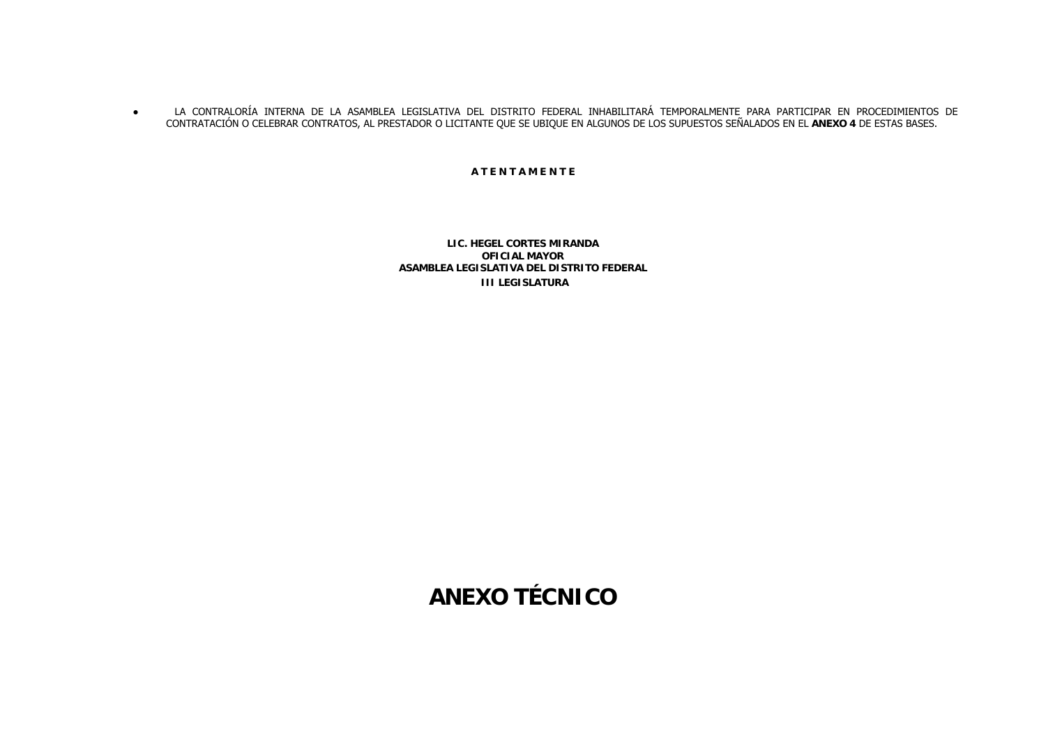$\bullet$  LA CONTRALORÍA INTERNA DE LA ASAMBLEA LEGISLATIVA DEL DISTRITO FEDERAL INHABILITARÁ TEMPORALMENTE PARA PARTICIPAR EN PROCEDIMIENTOS DE CONTRATACIÓN O CELEBRAR CONTRATOS, AL PRESTADOR O LICITANTE QUE SE UBIQUE EN ALGUNOS DE LOS SUPUESTOS SEÑALADOS EN EL **ANEXO 4** DE ESTAS BASES.

**A T E N T A M E N T E**

**LIC. HEGEL CORTES MIRANDAOFICIAL MAYOR ASAMBLEA LEGISLATIVA DEL DISTRITO FEDERAL III LEGISLATURA**

**ANEXO TÉCNICO**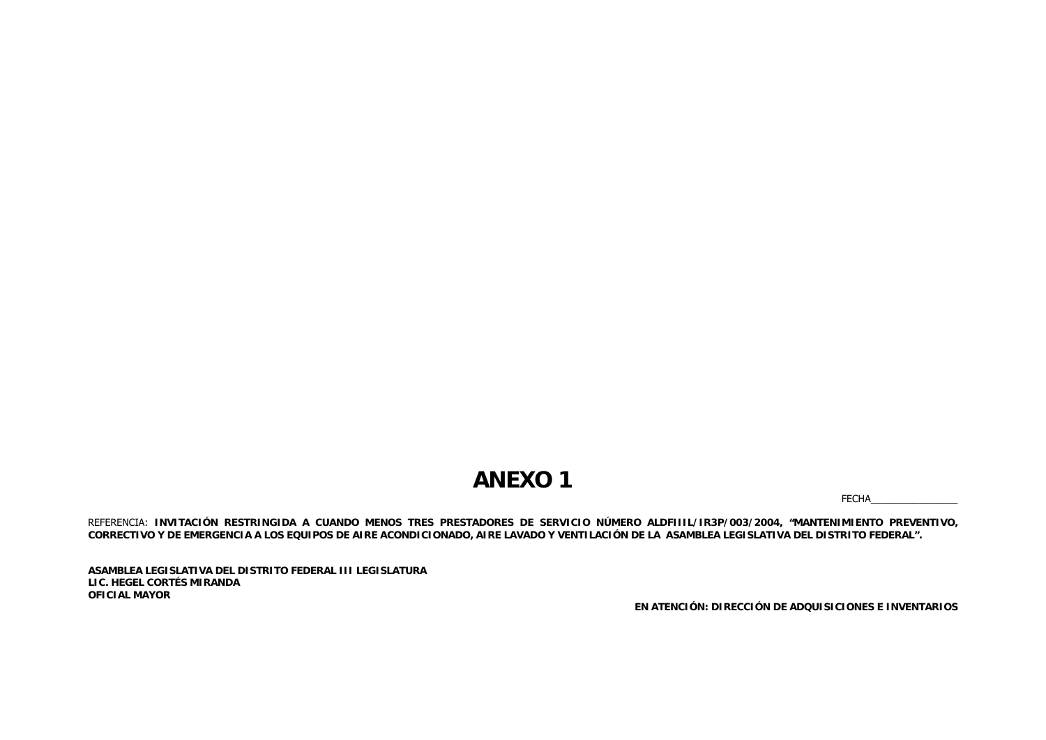## **ANEXO 1**

FECHA\_

REFERENCIA: **INVITACIÓN RESTRINGIDA A CUANDO MENOS TRES PRESTADORES DE SERVICIO NÚMERO ALDFIIIL/IR3P/003/2004, "MANTENIMIENTO PREVENTIVO, CORRECTIVO Y DE EMERGENCIA A LOS EQUIPOS DE AIRE ACONDICIONADO, AIRE LAVADO Y VENTILACIÓN DE LA ASAMBLEA LEGISLATIVA DEL DISTRITO FEDERAL".**

**ASAMBLEA LEGISLATIVA DEL DISTRITO FEDERAL III LEGISLATURA LIC. HEGEL CORTÉS MIRANDA OFICIAL MAYOR**

**EN ATENCIÓN: DIRECCIÓN DE ADQUISICIONES E INVENTARIOS**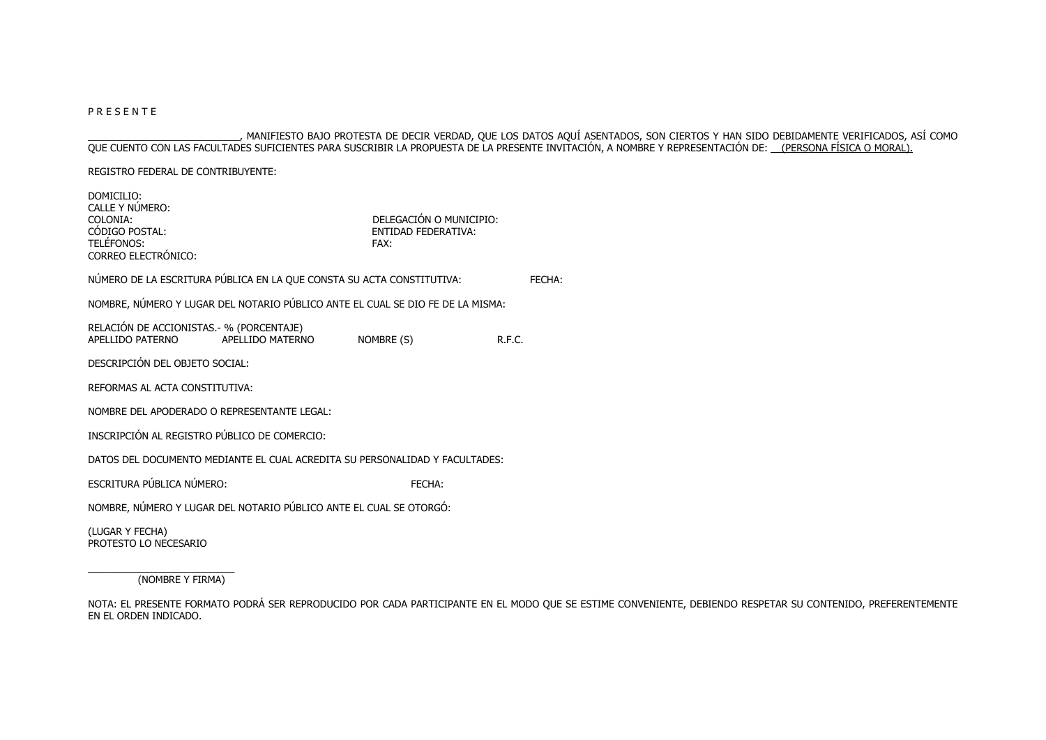## P R E S E N T E

\_\_\_\_\_\_\_\_\_\_\_\_\_\_\_\_\_\_\_\_\_\_\_\_\_\_\_\_, MANIFIESTO BAJO PROTESTA DE DECIR VERDAD, QUE LOS DATOS AQUÍ ASENTADOS, SON CIERTOS Y HAN SIDO DEBIDAMENTE VERIFICADOS, ASÍ COMO QUE CUENTO CON LAS FACULTADES SUFICIENTES PARA SUSCRIBIR LA PROPUESTA DE LA PRESENTE INVITACIÓN, A NOMBRE Y REPRESENTACIÓN DE: <u>\_\_(PERSONA FÍSICA O MORAL)</u>.

REGISTRO FEDERAL DE CONTRIBUYENTE:

| DOMICILIO:<br>CALLE Y NÚMERO:<br>COLONIA:<br>CODIGO POSTAL:<br>TELÉFONOS:<br>CORREO ELECTRÓNICO: |                  | DELEGACIÓN O MUNICIPIO:<br>ENTIDAD FEDERATIVA:<br>FAX: |        |
|--------------------------------------------------------------------------------------------------|------------------|--------------------------------------------------------|--------|
| NÚMERO DE LA ESCRITURA PÚBLICA EN LA QUE CONSTA SU ACTA CONSTITUTIVA:                            |                  |                                                        | FFCHA: |
| NOMBRE, NÚMERO Y LUGAR DEL NOTARIO PÚBLICO ANTE EL CUAL SE DIO FE DE LA MISMA:                   |                  |                                                        |        |
| RELACIÓN DE ACCIONISTAS. - % (PORCENTAJE)<br>APELLIDO PATERNO                                    | APELLIDO MATERNO | NOMBRE (S)                                             | R.F.C. |
| DESCRIPCIÓN DEL OBJETO SOCIAL:                                                                   |                  |                                                        |        |
| REFORMAS AL ACTA CONSTITUTIVA:                                                                   |                  |                                                        |        |
| NOMBRE DEL APODERADO O REPRESENTANTE LEGAL:                                                      |                  |                                                        |        |
| INSCRIPCIÓN AL REGISTRO PÚBLICO DE COMERCIO:                                                     |                  |                                                        |        |
| DATOS DEL DOCUMENTO MEDIANTE EL CUAL ACREDITA SU PERSONALIDAD Y FACULTADES:                      |                  |                                                        |        |
| ESCRITURA PÚBLICA NÚMERO:                                                                        |                  | FECHA:                                                 |        |
| NOMBRE, NÚMERO Y LUGAR DEL NOTARIO PÚBLICO ANTE EL CUAL SE OTORGÓ:                               |                  |                                                        |        |
| (LUGAR Y FECHA)<br>PROTESTO LO NECESARIO                                                         |                  |                                                        |        |

\_\_\_\_\_\_\_\_\_\_\_\_\_\_\_\_\_\_\_\_\_\_\_\_\_\_\_ (NOMBRE Y FIRMA)

NOTA: EL PRESENTE FORMATO PODRÁ SER REPRODUCIDO POR CADA PARTICIPANTE EN EL MODO QUE SE ESTIME CONVENIENTE, DEBIENDO RESPETAR SU CONTENIDO, PREFERENTEMENTE EN EL ORDEN INDICADO.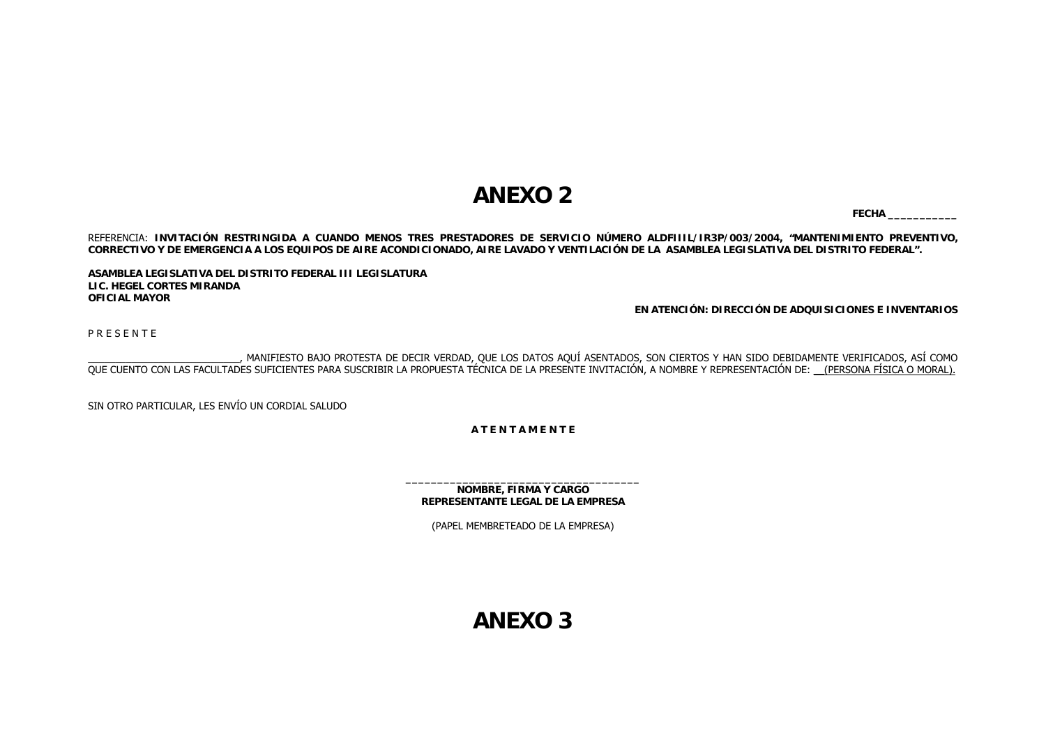## **ANEXO 2**

**FECHA \_\_\_\_\_\_\_\_\_\_\_**

REFERENCIA: **INVITACIÓN RESTRINGIDA A CUANDO MENOS TRES PRESTADORES DE SERVICIO NÚMERO ALDFIIIL/IR3P/003/2004, "MANTENIMIENTO PREVENTIVO, CORRECTIVO Y DE EMERGENCIA A LOS EQUIPOS DE AIRE ACONDICIONADO, AIRE LAVADO Y VENTILACIÓN DE LA ASAMBLEA LEGISLATIVA DEL DISTRITO FEDERAL".**

**ASAMBLEA LEGISLATIVA DEL DISTRITO FEDERAL III LEGISLATURA LIC. HEGEL CORTES MIRANDAOFICIAL MAYOR**

**EN ATENCIÓN: DIRECCIÓN DE ADQUISICIONES E INVENTARIOS**

P R E S E N T E

\_\_\_\_\_\_\_\_\_\_\_\_\_\_\_\_\_\_\_\_\_\_\_\_\_\_\_\_, MANIFIESTO BAJO PROTESTA DE DECIR VERDAD, QUE LOS DATOS AQUÍ ASENTADOS, SON CIERTOS Y HAN SIDO DEBIDAMENTE VERIFICADOS, ASÍ COMO QUE CUENTO CON LAS FACULTADES SUFICIENTES PARA SUSCRIBIR LA PROPUESTA TÉCNICA DE LA PRESENTE INVITACIÓN, A NOMBRE Y REPRESENTACIÓN DE: \_\_(PERSONA FÍSICA O MORAL).

SIN OTRO PARTICULAR, LES ENVÍO UN CORDIAL SALUDO

**A T E N T A M E N T E**

**NOMBRE, FIRMA Y CARGO REPRESENTANTE LEGAL DE LA EMPRESA**

(PAPEL MEMBRETEADO DE LA EMPRESA)

**ANEXO 3**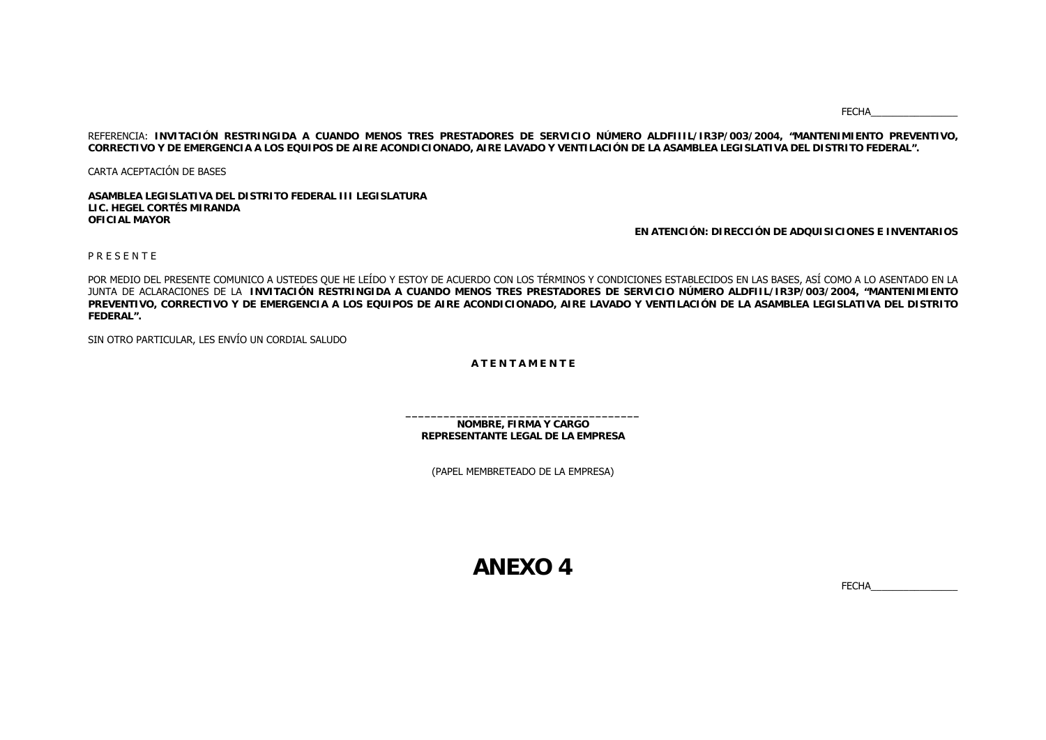FECHA\_\_\_\_\_\_\_\_\_\_\_\_\_\_\_\_

REFERENCIA: **INVITACIÓN RESTRINGIDA A CUANDO MENOS TRES PRESTADORES DE SERVICIO NÚMERO ALDFIIIL/IR3P/003/2004, "MANTENIMIENTO PREVENTIVO, CORRECTIVO Y DE EMERGENCIA A LOS EQUIPOS DE AIRE ACONDICIONADO, AIRE LAVADO Y VENTILACIÓN DE LA ASAMBLEA LEGISLATIVA DEL DISTRITO FEDERAL".**

CARTA ACEPTACIÓN DE BASES

**ASAMBLEA LEGISLATIVA DEL DISTRITO FEDERAL III LEGISLATURALIC. HEGEL CORTÉS MIRANDAOFICIAL MAYOR**

**EN ATENCIÓN: DIRECCIÓN DE ADQUISICIONES E INVENTARIOS**

P R E S E N T E

POR MEDIO DEL PRESENTE COMUNICO A USTEDES QUE HE LEÍDO Y ESTOY DE ACUERDO CON LOS TÉRMINOS Y CONDICIONES ESTABLECIDOS EN LAS BASES, ASÍ COMO A LO ASENTADO EN LA JUNTA DE ACLARACIONES DE LA **INVITACIÓN RESTRINGIDA A CUANDO MENOS TRES PRESTADORES DE SERVICIO NÚMERO ALDFIIL/IR3P/003/2004, "MANTENIMIENTO PREVENTIVO, CORRECTIVO Y DE EMERGENCIA A LOS EQUIPOS DE AIRE ACONDICIONADO, AIRE LAVADO Y VENTILACIÓN DE LA ASAMBLEA LEGISLATIVA DEL DISTRITO FEDERAL".**

SIN OTRO PARTICULAR, LES ENVÍO UN CORDIAL SALUDO

**A T E N T A M E N T E**

**NOMBRE, FIRMA Y CARGO REPRESENTANTE LEGAL DE LA EMPRESA**

(PAPEL MEMBRETEADO DE LA EMPRESA)

**ANEXO 4**

FECHA\_\_\_\_\_\_\_\_\_\_\_\_\_\_\_\_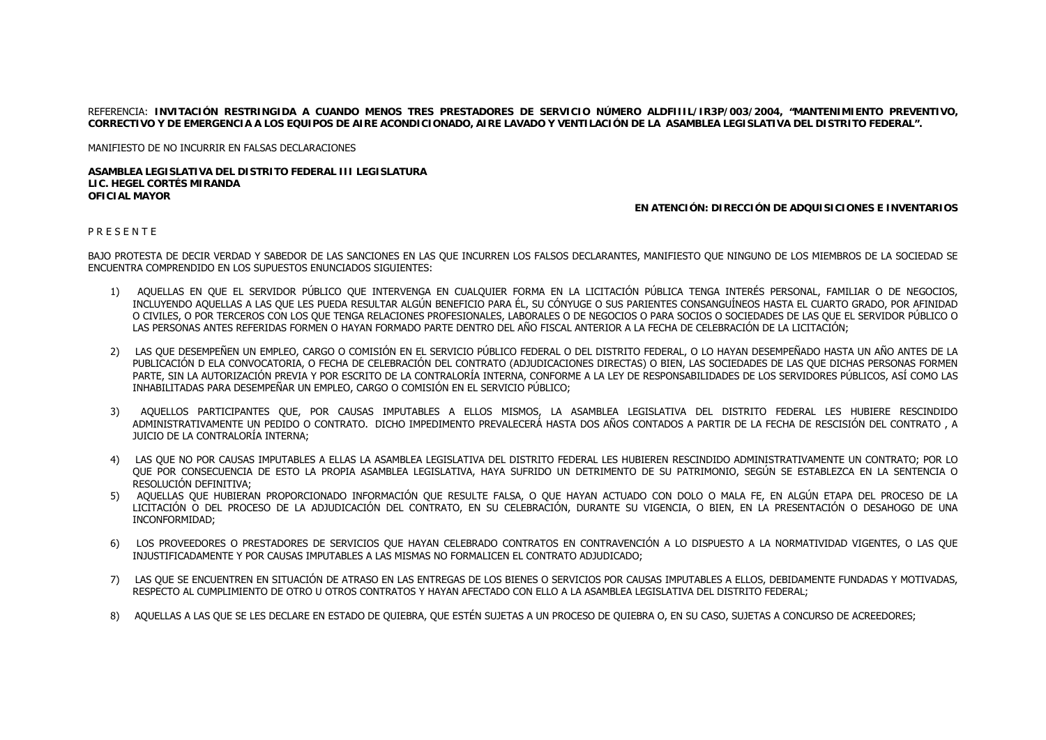REFERENCIA: **INVITACIÓN RESTRINGIDA A CUANDO MENOS TRES PRESTADORES DE SERVICIO NÚMERO ALDFIIIL/IR3P/003/2004, "MANTENIMIENTO PREVENTIVO, CORRECTIVO Y DE EMERGENCIA A LOS EQUIPOS DE AIRE ACONDICIONADO, AIRE LAVADO Y VENTILACIÓN DE LA ASAMBLEA LEGISLATIVA DEL DISTRITO FEDERAL".**

MANIFIESTO DE NO INCURRIR EN FALSAS DECLARACIONES

**ASAMBLEA LEGISLATIVA DEL DISTRITO FEDERAL III LEGISLATURALIC. HEGEL CORTÉS MIRANDAOFICIAL MAYOR**

## **EN ATENCIÓN: DIRECCIÓN DE ADQUISICIONES E INVENTARIOS**

## P R E S E N T E

BAJO PROTESTA DE DECIR VERDAD Y SABEDOR DE LAS SANCIONES EN LAS QUE INCURREN LOS FALSOS DECLARANTES, MANIFIESTO QUE NINGUNO DE LOS MIEMBROS DE LA SOCIEDAD SE ENCUENTRA COMPRENDIDO EN LOS SUPUESTOS ENUNCIADOS SIGUIENTES:

- 1) AQUELLAS EN QUE EL SERVIDOR PÚBLICO QUE INTERVENGA EN CUALQUIER FORMA EN LA LICITACIÓN PÚBLICA TENGA INTERÉS PERSONAL, FAMILIAR O DE NEGOCIOS, INCLUYENDO AQUELLAS A LAS QUE LES PUEDA RESULTAR ALGÚN BENEFICIO PARA ÉL, SU CÓNYUGE O SUS PARIENTES CONSANGUÍNEOS HASTA EL CUARTO GRADO, POR AFINIDAD O CIVILES, O POR TERCEROS CON LOS QUE TENGA RELACIONES PROFESIONALES, LABORALES O DE NEGOCIOS O PARA SOCIOS O SOCIEDADES DE LAS QUE EL SERVIDOR PÚBLICO O LAS PERSONAS ANTES REFERIDAS FORMEN O HAYAN FORMADO PARTE DENTRO DEL AÑO FISCAL ANTERIOR A LA FECHA DE CELEBRACIÓN DE LA LICITACIÓN;
- 2) LAS QUE DESEMPEÑEN UN EMPLEO, CARGO O COMISIÓN EN EL SERVICIO PÚBLICO FEDERAL O DEL DISTRITO FEDERAL, O LO HAYAN DESEMPEÑADO HASTA UN AÑO ANTES DE LA PUBLICACIÓN D ELA CONVOCATORIA, O FECHA DE CELEBRACIÓN DEL CONTRATO (ADJUDICACIONES DIRECTAS) O BIEN, LAS SOCIEDADES DE LAS QUE DICHAS PERSONAS FORMEN PARTE, SIN LA AUTORIZACIÓN PREVIA Y POR ESCRITO DE LA CONTRALORÍA INTERNA, CONFORME A LA LEY DE RESPONSABILIDADES DE LOS SERVIDORES PÚBLICOS, ASÍ COMO LAS INHABILITADAS PARA DESEMPEÑAR UN EMPLEO, CARGO O COMISIÓN EN EL SERVICIO PÚBLICO;
- 3) AQUELLOS PARTICIPANTES QUE, POR CAUSAS IMPUTABLES A ELLOS MISMOS, LA ASAMBLEA LEGISLATIVA DEL DISTRITO FEDERAL LES HUBIERE RESCINDIDO ADMINISTRATIVAMENTE UN PEDIDO O CONTRATO. DICHO IMPEDIMENTO PREVALECERÁ HASTA DOS AÑOS CONTADOS A PARTIR DE LA FECHA DE RESCISIÓN DEL CONTRATO , A JUICIO DE LA CONTRALORÍA INTERNA;
- 4) LAS QUE NO POR CAUSAS IMPUTABLES A ELLAS LA ASAMBLEA LEGISLATIVA DEL DISTRITO FEDERAL LES HUBIEREN RESCINDIDO ADMINISTRATIVAMENTE UN CONTRATO; POR LO QUE POR CONSECUENCIA DE ESTO LA PROPIA ASAMBLEA LEGISLATIVA, HAYA SUFRIDO UN DETRIMENTO DE SU PATRIMONIO, SEGÚN SE ESTABLEZCA EN LA SENTENCIA O RESOLUCIÓN DEFINITIVA;
- 5) AQUELLAS QUE HUBIERAN PROPORCIONADO INFORMACIÓN QUE RESULTE FALSA, O QUE HAYAN ACTUADO CON DOLO O MALA FE, EN ALGÚN ETAPA DEL PROCESO DE LA LICITACIÓN O DEL PROCESO DE LA ADJUDICACIÓN DEL CONTRATO, EN SU CELEBRACIÓN, DURANTE SU VIGENCIA, O BIEN, EN LA PRESENTACIÓN O DESAHOGO DE UNA INCONFORMIDAD;
- 6) LOS PROVEEDORES O PRESTADORES DE SERVICIOS QUE HAYAN CELEBRADO CONTRATOS EN CONTRAVENCIÓN A LO DISPUESTO A LA NORMATIVIDAD VIGENTES, O LAS OUE INJUSTIFICADAMENTE Y POR CAUSAS IMPUTABLES A LAS MISMAS NO FORMALICEN EL CONTRATO ADJUDICADO;
- 7) LAS QUE SE ENCUENTREN EN SITUACIÓN DE ATRASO EN LAS ENTREGAS DE LOS BIENES O SERVICIOS POR CAUSAS IMPUTABLES A ELLOS, DEBIDAMENTE FUNDADAS Y MOTIVADAS, RESPECTO AL CUMPLIMIENTO DE OTRO U OTROS CONTRATOS Y HAYAN AFECTADO CON ELLO A LA ASAMBLEA LEGISLATIVA DEL DISTRITO FEDERAL;
- 8) AQUELLAS A LAS QUE SE LES DECLARE EN ESTADO DE QUIEBRA, QUE ESTÉN SUJETAS A UN PROCESO DE QUIEBRA O, EN SU CASO, SUJETAS A CONCURSO DE ACREEDORES;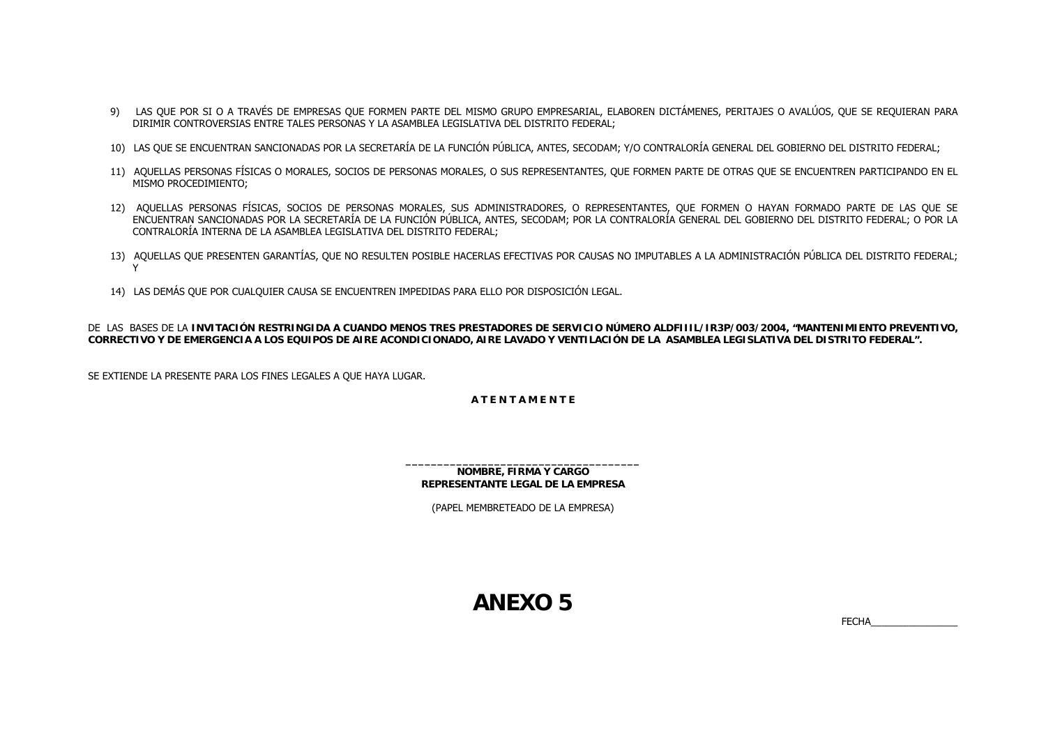- 9) LAS QUE POR SI O A TRAVÉS DE EMPRESAS QUE FORMEN PARTE DEL MISMO GRUPO EMPRESARIAL, ELABOREN DICTÁMENES, PERITAJES O AVALÚOS, QUE SE REQUIERAN PARA DIRIMIR CONTROVERSIAS ENTRE TALES PERSONAS Y LA ASAMBLEA LEGISLATIVA DEL DISTRITO FEDERAL;
- 10) LAS QUE SE ENCUENTRAN SANCIONADAS POR LA SECRETARÍA DE LA FUNCIÓN PÚBLICA, ANTES, SECODAM; Y/O CONTRALORÍA GENERAL DEL GOBIERNO DEL DISTRITO FEDERAL;
- 11) AQUELLAS PERSONAS FÍSICAS O MORALES, SOCIOS DE PERSONAS MORALES, O SUS REPRESENTANTES, QUE FORMEN PARTE DE OTRAS QUE SE ENCUENTREN PARTICIPANDO EN EL MISMO PROCEDIMIENTO;
- 12) AQUELLAS PERSONAS FÍSICAS, SOCIOS DE PERSONAS MORALES, SUS ADMINISTRADORES, O REPRESENTANTES, QUE FORMEN O HAYAN FORMADO PARTE DE LAS QUE SE ENCUENTRAN SANCIONADAS POR LA SECRETARÍA DE LA FUNCIÓN PÚBLICA, ANTES, SECODAM; POR LA CONTRALORÍA GENERAL DEL GOBIERNO DEL DISTRITO FEDERAL; O POR LA CONTRALORÍA INTERNA DE LA ASAMBLEA LEGISLATIVA DEL DISTRITO FEDERAL;
- 13) AQUELLAS QUE PRESENTEN GARANTÍAS, QUE NO RESULTEN POSIBLE HACERLAS EFECTIVAS POR CAUSAS NO IMPUTABLES A LA ADMINISTRACIÓN PÚBLICA DEL DISTRITO FEDERAL; Y
- 14) LAS DEMÁS QUE POR CUALQUIER CAUSA SE ENCUENTREN IMPEDIDAS PARA ELLO POR DISPOSICIÓN LEGAL.

DE LAS BASES DE LA **INVITACIÓN RESTRINGIDA A CUANDO MENOS TRES PRESTADORES DE SERVICIO NÚMERO ALDFIIIL/IR3P/003/2004, "MANTENIMIENTO PREVENTIVO, CORRECTIVO Y DE EMERGENCIA A LOS EQUIPOS DE AIRE ACONDICIONADO, AIRE LAVADO Y VENTILACIÓN DE LA ASAMBLEA LEGISLATIVA DEL DISTRITO FEDERAL".**

SE EXTIENDE LA PRESENTE PARA LOS FINES LEGALES A QUE HAYA LUGAR.

## **A T E N T A M E N T E**

**NOMBRE, FIRMA Y CARGO REPRESENTANTE LEGAL DE LA EMPRESA**

(PAPEL MEMBRETEADO DE LA EMPRESA)

**ANEXO 5**

FECHA\_\_\_\_\_\_\_\_\_\_\_\_\_\_\_\_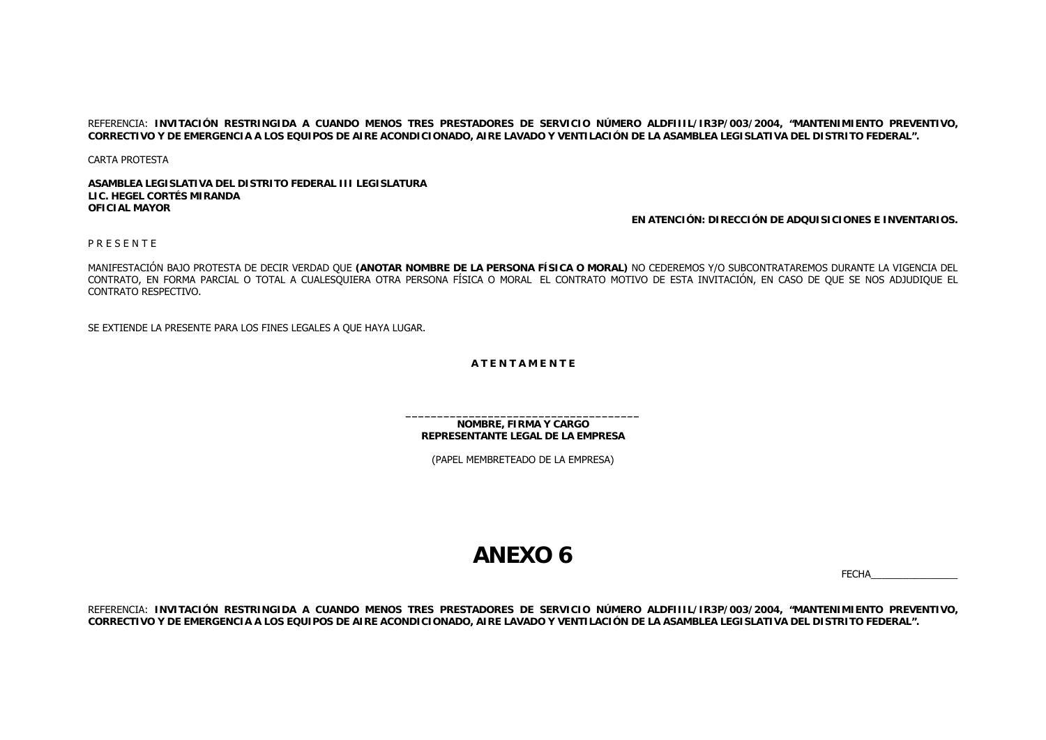REFERENCIA: **INVITACIÓN RESTRINGIDA A CUANDO MENOS TRES PRESTADORES DE SERVICIO NÚMERO ALDFIIIL/IR3P/003/2004, "MANTENIMIENTO PREVENTIVO, CORRECTIVO Y DE EMERGENCIA A LOS EQUIPOS DE AIRE ACONDICIONADO, AIRE LAVADO Y VENTILACIÓN DE LA ASAMBLEA LEGISLATIVA DEL DISTRITO FEDERAL".**

CARTA PROTESTA

**ASAMBLEA LEGISLATIVA DEL DISTRITO FEDERAL III LEGISLATURALIC. HEGEL CORTÉS MIRANDAOFICIAL MAYOR**

**EN ATENCIÓN: DIRECCIÓN DE ADQUISICIONES E INVENTARIOS.**

P R E S E N T E

MANIFESTACIÓN BAJO PROTESTA DE DECIR VERDAD QUE **(ANOTAR NOMBRE DE LA PERSONA FÍSICA O MORAL)** NO CEDEREMOS Y/O SUBCONTRATAREMOS DURANTE LA VIGENCIA DEL CONTRATO, EN FORMA PARCIAL O TOTAL A CUALESQUIERA OTRA PERSONA FÍSICA O MORAL EL CONTRATO MOTIVO DE ESTA INVITACIÓN, EN CASO DE QUE SE NOS ADJUDIQUE EL CONTRATO RESPECTIVO.

SE EXTIENDE LA PRESENTE PARA LOS FINES LEGALES A QUE HAYA LUGAR.

**A T E N T A M E N T E**

**NOMBRE, FIRMA Y CARGO REPRESENTANTE LEGAL DE LA EMPRESA**

(PAPEL MEMBRETEADO DE LA EMPRESA)

## **ANEXO 6**

FECHA\_\_\_\_\_\_\_\_\_\_\_\_\_\_\_\_

REFERENCIA: **INVITACIÓN RESTRINGIDA A CUANDO MENOS TRES PRESTADORES DE SERVICIO NÚMERO ALDFIIIL/IR3P/003/2004, "MANTENIMIENTO PREVENTIVO, CORRECTIVO Y DE EMERGENCIA A LOS EQUIPOS DE AIRE ACONDICIONADO, AIRE LAVADO Y VENTILACIÓN DE LA ASAMBLEA LEGISLATIVA DEL DISTRITO FEDERAL".**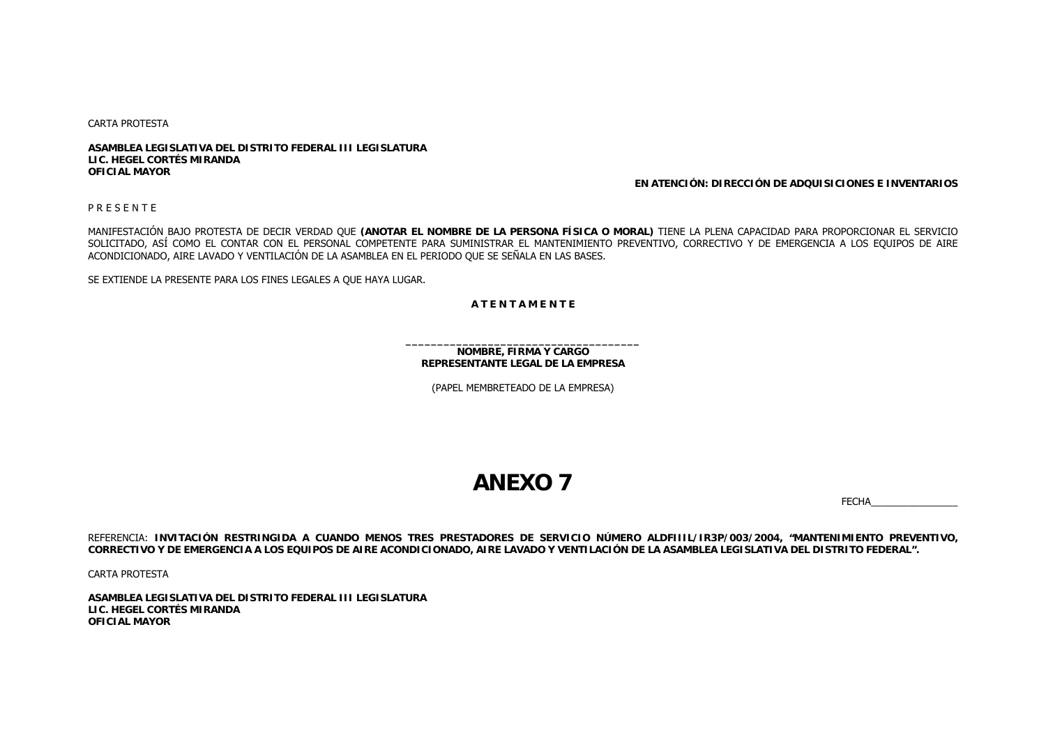CARTA PROTESTA

**ASAMBLEA LEGISLATIVA DEL DISTRITO FEDERAL III LEGISLATURALIC. HEGEL CORTÉS MIRANDAOFICIAL MAYOR**

## **EN ATENCIÓN: DIRECCIÓN DE ADQUISICIONES E INVENTARIOS**

P R E S E N T E

MANIFESTACIÓN BAJO PROTESTA DE DECIR VERDAD QUE **(ANOTAR EL NOMBRE DE LA PERSONA FÍSICA O MORAL)** TIENE LA PLENA CAPACIDAD PARA PROPORCIONAR EL SERVICIO SOLICITADO, ASÍ COMO EL CONTAR CON EL PERSONAL COMPETENTE PARA SUMINISTRAR EL MANTENIMIENTO PREVENTIVO, CORRECTIVO Y DE EMERGENCIA A LOS EQUIPOS DE AIRE ACONDICIONADO, AIRE LAVADO Y VENTILACIÓN DE LA ASAMBLEA EN EL PERIODO QUE SE SEÑALA EN LAS BASES.

SE EXTIENDE LA PRESENTE PARA LOS FINES LEGALES A QUE HAYA LUGAR.

**A T E N T A M E N T E**

**NOMBRE, FIRMA Y CARGO REPRESENTANTE LEGAL DE LA EMPRESA**

(PAPEL MEMBRETEADO DE LA EMPRESA)

## **ANEXO 7**

FECHA\_\_\_\_\_\_\_\_\_\_\_\_\_\_\_\_

REFERENCIA: **INVITACIÓN RESTRINGIDA A CUANDO MENOS TRES PRESTADORES DE SERVICIO NÚMERO ALDFIIIL/IR3P/003/2004, "MANTENIMIENTO PREVENTIVO, CORRECTIVO Y DE EMERGENCIA A LOS EQUIPOS DE AIRE ACONDICIONADO, AIRE LAVADO Y VENTILACIÓN DE LA ASAMBLEA LEGISLATIVA DEL DISTRITO FEDERAL".**

CARTA PROTESTA

**ASAMBLEA LEGISLATIVA DEL DISTRITO FEDERAL III LEGISLATURA LIC. HEGEL CORTÉS MIRANDA OFICIAL MAYOR**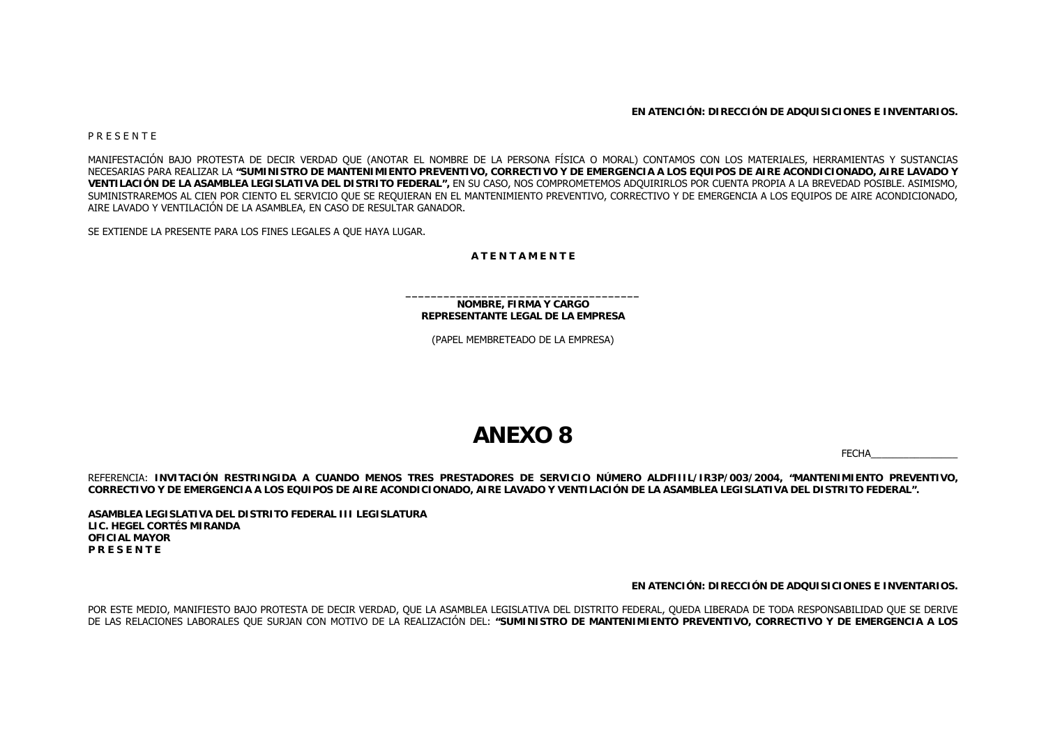**EN ATENCIÓN: DIRECCIÓN DE ADQUISICIONES E INVENTARIOS.**

P R E S E N T E

MANIFESTACIÓN BAJO PROTESTA DE DECIR VERDAD QUE (ANOTAR EL NOMBRE DE LA PERSONA FÍSICA O MORAL) CONTAMOS CON LOS MATERIALES, HERRAMIENTAS Y SUSTANCIAS NECESARIAS PARA REALIZAR LA **"SUMINISTRO DE MANTENIMIENTO PREVENTIVO, CORRECTIVO Y DE EMERGENCIA A LOS EQUIPOS DE AIRE ACONDICIONADO, AIRE LAVADO Y VENTILACIÓN DE LA ASAMBLEA LEGISLATIVA DEL DISTRITO FEDERAL",** EN SU CASO, NOS COMPROMETEMOS ADQUIRIRLOS POR CUENTA PROPIA A LA BREVEDAD POSIBLE. ASIMISMO, SUMINISTRAREMOS AL CIEN POR CIENTO EL SERVICIO QUE SE REQUIERAN EN EL MANTENIMIENTO PREVENTIVO, CORRECTIVO Y DE EMERGENCIA A LOS EQUIPOS DE AIRE ACONDICIONADO, AIRE LAVADO Y VENTILACIÓN DE LA ASAMBLEA, EN CASO DE RESULTAR GANADOR.

SE EXTIENDE LA PRESENTE PARA LOS FINES LEGALES A QUE HAYA LUGAR.

**A T E N T A M E N T E**

**NOMBRE, FIRMA Y CARGO REPRESENTANTE LEGAL DE LA EMPRESA**

(PAPEL MEMBRETEADO DE LA EMPRESA)

## **ANEXO 8**

FECHA\_\_\_\_\_\_\_\_\_\_\_\_\_\_\_\_

REFERENCIA: **INVITACIÓN RESTRINGIDA A CUANDO MENOS TRES PRESTADORES DE SERVICIO NÚMERO ALDFIIIL/IR3P/003/2004, "MANTENIMIENTO PREVENTIVO, CORRECTIVO Y DE EMERGENCIA A LOS EQUIPOS DE AIRE ACONDICIONADO, AIRE LAVADO Y VENTILACIÓN DE LA ASAMBLEA LEGISLATIVA DEL DISTRITO FEDERAL".**

**ASAMBLEA LEGISLATIVA DEL DISTRITO FEDERAL III LEGISLATURA LIC. HEGEL CORTÉS MIRANDA OFICIAL MAYORP R E S E N T E**

**EN ATENCIÓN: DIRECCIÓN DE ADQUISICIONES E INVENTARIOS.**

POR ESTE MEDIO, MANIFIESTO BAJO PROTESTA DE DECIR VERDAD, QUE LA ASAMBLEA LEGISLATIVA DEL DISTRITO FEDERAL, QUEDA LIBERADA DE TODA RESPONSABILIDAD QUE SE DERIVE DE LAS RELACIONES LABORALES QUE SURJAN CON MOTIVO DE LA REALIZACIÓN DEL: **"SUMINISTRO DE MANTENIMIENTO PREVENTIVO, CORRECTIVO Y DE EMERGENCIA A LOS**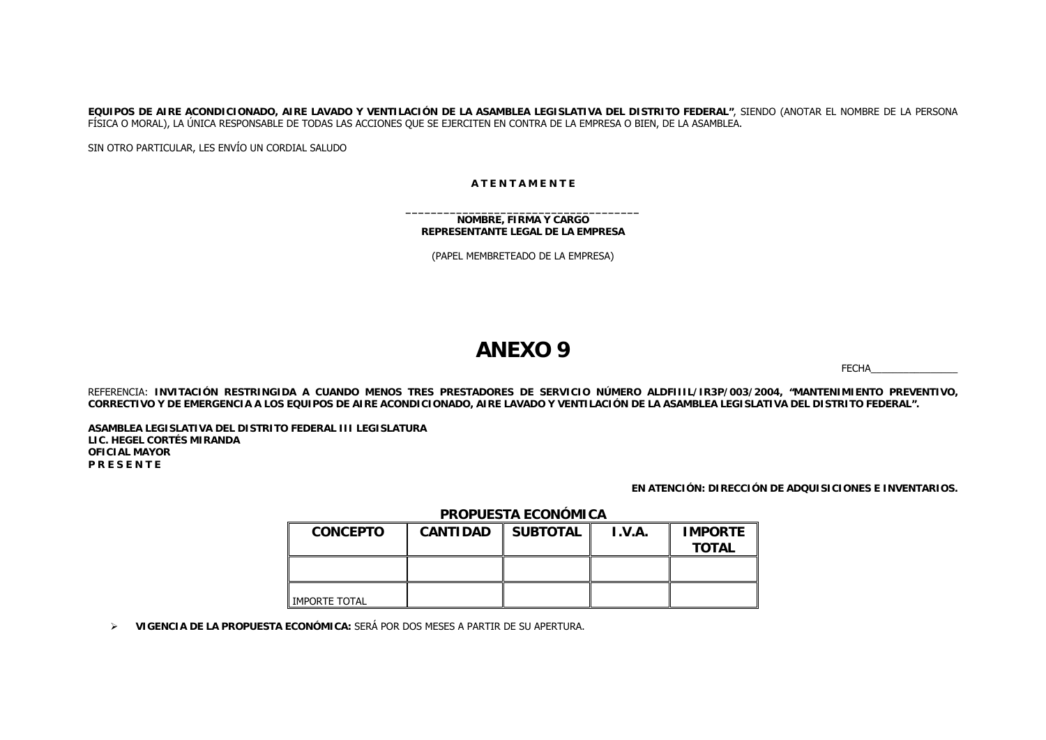**EQUIPOS DE AIRE ACONDICIONADO, AIRE LAVADO Y VENTILACIÓN DE LA ASAMBLEA LEGISLATIVA DEL DISTRITO FEDERAL"**, SIENDO (ANOTAR EL NOMBRE DE LA PERSONA FÍSICA O MORAL), LA ÚNICA RESPONSABLE DE TODAS LAS ACCIONES QUE SE EJERCITEN EN CONTRA DE LA EMPRESA O BIEN, DE LA ASAMBLEA.

SIN OTRO PARTICULAR, LES ENVÍO UN CORDIAL SALUDO

## **A T E N T A M E N T E**

## **NOMBRE, FIRMA Y CARGO REPRESENTANTE LEGAL DE LA EMPRESA**

(PAPEL MEMBRETEADO DE LA EMPRESA)

## **ANEXO 9**

FECHA\_\_\_\_\_\_\_\_\_\_\_\_\_\_\_\_

REFERENCIA: **INVITACIÓN RESTRINGIDA A CUANDO MENOS TRES PRESTADORES DE SERVICIO NÚMERO ALDFIIIL/IR3P/003/2004, "MANTENIMIENTO PREVENTIVO, CORRECTIVO Y DE EMERGENCIA A LOS EQUIPOS DE AIRE ACONDICIONADO, AIRE LAVADO Y VENTILACIÓN DE LA ASAMBLEA LEGISLATIVA DEL DISTRITO FEDERAL".**

**ASAMBLEA LEGISLATIVA DEL DISTRITO FEDERAL III LEGISLATURALIC. HEGEL CORTÉS MIRANDAOFICIAL MAYORP R E S E N T E**

## **EN ATENCIÓN: DIRECCIÓN DE ADQUISICIONES E INVENTARIOS.**

## **PROPUESTA ECONÓMICA**

| <b>CONCEPTO</b>      | <b>CANTIDAD</b> | <b>SUBTOTAL</b> | I.V.A. | <b>IMPORTE</b><br><b>TOTAL</b> |
|----------------------|-----------------|-----------------|--------|--------------------------------|
|                      |                 |                 |        |                                |
| <b>IMPORTE TOTAL</b> |                 |                 |        |                                |

¾ **VIGENCIA DE LA PROPUESTA ECONÓMICA:** SERÁ POR DOS MESES A PARTIR DE SU APERTURA.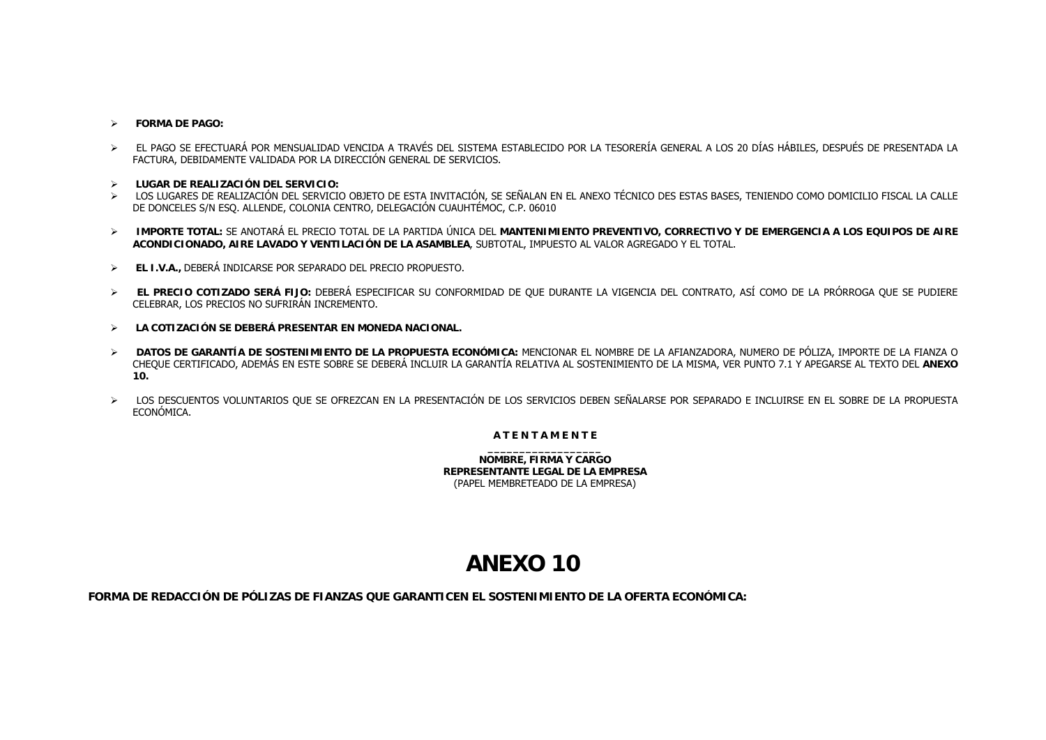### $\blacktriangleright$ **FORMA DE PAGO:**

- ¾ EL PAGO SE EFECTUARÁ POR MENSUALIDAD VENCIDA A TRAVÉS DEL SISTEMA ESTABLECIDO POR LA TESORERÍA GENERAL A LOS 20 DÍAS HÁBILES, DESPUÉS DE PRESENTADA LA FACTURA, DEBIDAMENTE VALIDADA POR LA DIRECCIÓN GENERAL DE SERVICIOS.
- ¾ **LUGAR DE REALIZACIÓN DEL SERVICIO:**
- ¾ LOS LUGARES DE REALIZACIÓN DEL SERVICIO OBJETO DE ESTA INVITACIÓN, SE SEÑALAN EN EL ANEXO TÉCNICO DES ESTAS BASES, TENIENDO COMO DOMICILIO FISCAL LA CALLE DE DONCELES S/N ESQ. ALLENDE, COLONIA CENTRO, DELEGACIÓN CUAUHTÉMOC, C.P. 06010
- ¾ **IMPORTE TOTAL:** SE ANOTARÁ EL PRECIO TOTAL DE LA PARTIDA ÚNICA DEL **MANTENIMIENTO PREVENTIVO, CORRECTIVO Y DE EMERGENCIA A LOS EQUIPOS DE AIRE ACONDICIONADO, AIRE LAVADO Y VENTILACIÓN DE LA ASAMBLEA**, SUBTOTAL, IMPUESTO AL VALOR AGREGADO Y EL TOTAL.
- ¾ **EL I.V.A.,** DEBERÁ INDICARSE POR SEPARADO DEL PRECIO PROPUESTO.
- ¾ **EL PRECIO COTIZADO SERÁ FIJO:** DEBERÁ ESPECIFICAR SU CONFORMIDAD DE QUE DURANTE LA VIGENCIA DEL CONTRATO, ASÍ COMO DE LA PRÓRROGA QUE SE PUDIERE CELEBRAR, LOS PRECIOS NO SUFRIRÁN INCREMENTO.
- ¾ **LA COTIZACIÓN SE DEBERÁ PRESENTAR EN MONEDA NACIONAL.**
- ¾ **DATOS DE GARANTÍA DE SOSTENIMIENTO DE LA PROPUESTA ECONÓMICA:** MENCIONAR EL NOMBRE DE LA AFIANZADORA, NUMERO DE PÓLIZA, IMPORTE DE LA FIANZA O CHEQUE CERTIFICADO, ADEMÁS EN ESTE SOBRE SE DEBERÁ INCLUIR LA GARANTÍA RELATIVA AL SOSTENIMIENTO DE LA MISMA, VER PUNTO 7.1 Y APEGARSE AL TEXTO DEL **ANEXO 10.**
- ¾ LOS DESCUENTOS VOLUNTARIOS QUE SE OFREZCAN EN LA PRESENTACIÓN DE LOS SERVICIOS DEBEN SEÑALARSE POR SEPARADO E INCLUIRSE EN EL SOBRE DE LA PROPUESTA ECONÓMICA.

## **A T E N T A M E N T E**

**NOMBRE, FIRMA Y CARGO REPRESENTANTE LEGAL DE LA EMPRESA**(PAPEL MEMBRETEADO DE LA EMPRESA)

# **ANEXO 10**

**FORMA DE REDACCIÓN DE PÓLIZAS DE FIANZAS QUE GARANTICEN EL SOSTENIMIENTO DE LA OFERTA ECONÓMICA:**